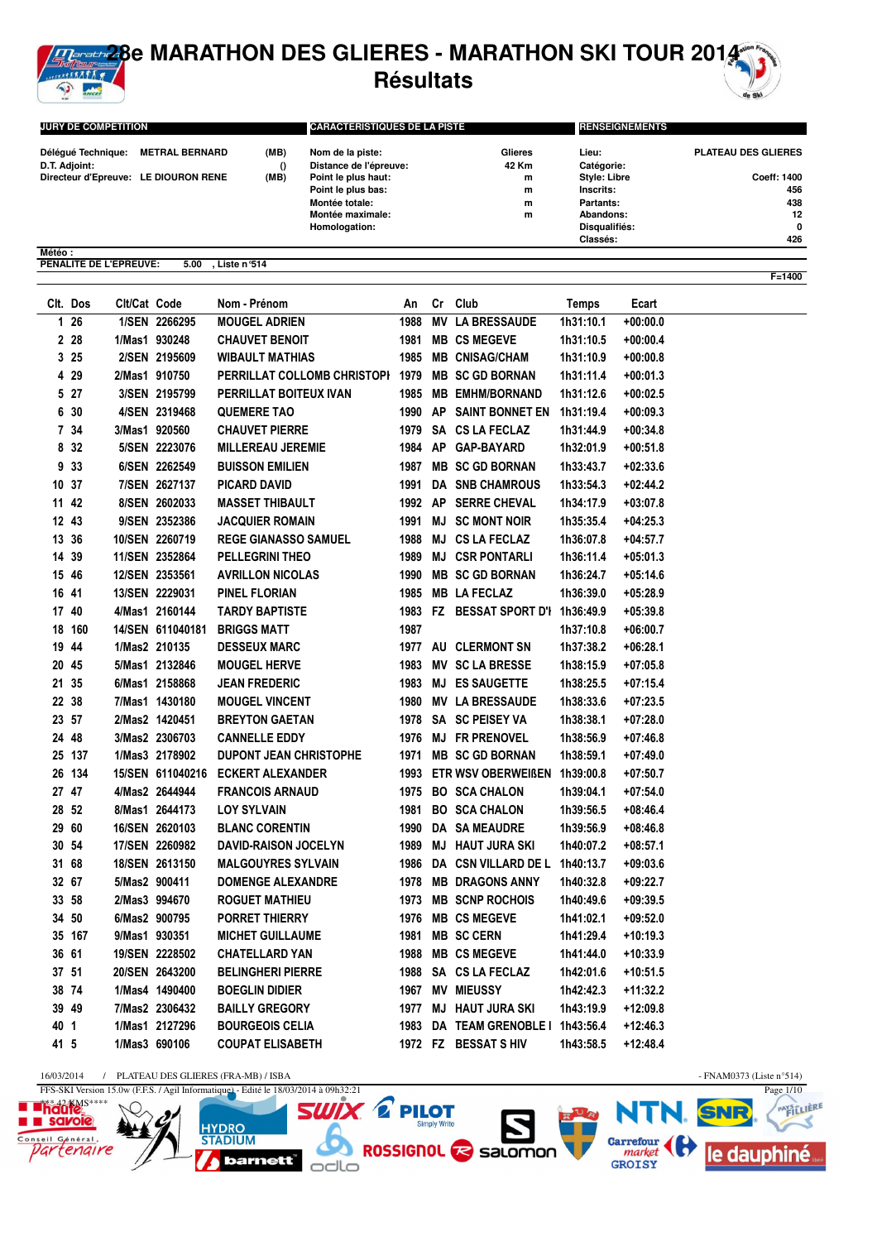

## **28e MARATHON DES GLIERES - MARATHON SKI TOUR 2014 Résultats**

| <b>JURY DE COMPETITION</b>           |      | <b>CARACTERISTIQUES DE LA PISTE</b> |         |                     | <b>RENSEIGNEMENTS</b>      |  |  |
|--------------------------------------|------|-------------------------------------|---------|---------------------|----------------------------|--|--|
| Déléqué Technique: METRAL BERNARD    | (MB) | Nom de la piste:                    | Glieres | Lieu:               | <b>PLATEAU DES GLIERES</b> |  |  |
| D.T. Adjoint:                        |      | Distance de l'épreuve:              | 42 Km   | Catégorie:          |                            |  |  |
| Directeur d'Epreuve: LE DIOURON RENE | (MB) | Point le plus haut:                 | m       | <b>Style: Libre</b> | <b>Coeff: 1400</b>         |  |  |
|                                      |      | Point le plus bas:                  | m       | Inscrits:           | 456                        |  |  |
|                                      |      | Montée totale:                      | m       | Partants:           | 438                        |  |  |
|                                      |      | Montée maximale:                    | m       | Abandons:           | 12                         |  |  |
|                                      |      | Homologation:                       |         | Disqualifiés:       | 0                          |  |  |
|                                      |      |                                     |         | Classés:            | 426                        |  |  |
| Météo:                               |      |                                     |         |                     |                            |  |  |

**PENALITE DE L'EPREUVE: 5.00 , Liste n°514**

|       | Clt. Dos | Cit/Cat Code |                  | Nom - Prénom                      | An      |           | Cr Club                            | <b>Temps</b> | Ecart      |
|-------|----------|--------------|------------------|-----------------------------------|---------|-----------|------------------------------------|--------------|------------|
|       | $126$    |              | 1/SEN 2266295    | <b>MOUGEL ADRIEN</b>              | 1988    | <b>MV</b> | <b>LA BRESSAUDE</b>                | 1h31:10.1    | $+00:00.0$ |
|       | 2 28     |              | 1/Mas1 930248    | <b>CHAUVET BENOIT</b>             | 1981    |           | <b>MB CS MEGEVE</b>                | 1h31:10.5    | $+00:00.4$ |
|       | 325      |              | 2/SEN 2195609    | <b>WIBAULT MATHIAS</b>            | 1985    |           | <b>MB CNISAG/CHAM</b>              | 1h31:10.9    | $+00:00.8$ |
|       | 4 29     |              | 2/Mas1 910750    | PERRILLAT COLLOMB CHRISTOPI       | 1979    |           | <b>MB SC GD BORNAN</b>             | 1h31:11.4    | $+00:01.3$ |
|       | 5 27     |              | 3/SEN 2195799    | PERRILLAT BOITEUX IVAN            | 1985    |           | <b>MB EMHM/BORNAND</b>             | 1h31:12.6    | $+00:02.5$ |
|       | 6 30     |              | 4/SEN 2319468    | <b>QUEMERE TAO</b>                | 1990 AP |           | <b>SAINT BONNET EN</b>             | 1h31:19.4    | $+00:09.3$ |
|       | 7 34     |              | 3/Mas1 920560    | <b>CHAUVET PIERRE</b>             |         |           | 1979 SA CS LA FECLAZ               | 1h31:44.9    | $+00:34.8$ |
|       | 8 32     |              | 5/SEN 2223076    | <b>MILLEREAU JEREMIE</b>          |         |           | 1984 AP GAP-BAYARD                 | 1h32:01.9    | +00:51.8   |
|       | 9 33     |              | 6/SEN 2262549    | <b>BUISSON EMILIEN</b>            | 1987    |           | <b>MB SC GD BORNAN</b>             | 1h33:43.7    | $+02:33.6$ |
|       | 10 37    |              | 7/SEN 2627137    | <b>PICARD DAVID</b>               | 1991    |           | DA SNB CHAMROUS                    | 1h33:54.3    | $+02:44.2$ |
|       | 11 42    |              | 8/SEN 2602033    | <b>MASSET THIBAULT</b>            | 1992 AP |           | <b>SERRE CHEVAL</b>                | 1h34:17.9    | $+03:07.8$ |
|       | 12 43    |              | 9/SEN 2352386    | <b>JACQUIER ROMAIN</b>            | 1991 MJ |           | <b>SC MONT NOIR</b>                | 1h35:35.4    | $+04:25.3$ |
|       | 13 36    |              | 10/SEN 2260719   | <b>REGE GIANASSO SAMUEL</b>       | 1988 MJ |           | <b>CS LA FECLAZ</b>                | 1h36:07.8    | +04:57.7   |
|       | 14 39    |              | 11/SEN 2352864   | <b>PELLEGRINI THEO</b>            | 1989 MJ |           | <b>CSR PONTARLI</b>                | 1h36:11.4    | $+05:01.3$ |
|       | 15 46    |              | 12/SEN 2353561   | <b>AVRILLON NICOLAS</b>           | 1990    |           | <b>MB SC GD BORNAN</b>             | 1h36:24.7    | $+05:14.6$ |
|       | 16 41    |              | 13/SEN 2229031   | PINEL FLORIAN                     |         |           | 1985 MB LA FECLAZ                  | 1h36:39.0    | $+05:28.9$ |
|       | 17 40    |              | 4/Mas1 2160144   | <b>TARDY BAPTISTE</b>             |         |           | 1983 FZ BESSAT SPORT D'I 1h36:49.9 |              | $+05:39.8$ |
|       | 18 160   |              | 14/SEN 611040181 | <b>BRIGGS MATT</b>                | 1987    |           |                                    | 1h37:10.8    | $+06:00.7$ |
|       | 19 44    |              | 1/Mas2 210135    | <b>DESSEUX MARC</b>               |         |           | 1977 AU CLERMONT SN                | 1h37:38.2    | $+06:28.1$ |
|       | 20 45    |              | 5/Mas1 2132846   | <b>MOUGEL HERVE</b>               |         |           | 1983 MV SC LA BRESSE               | 1h38:15.9    | $+07:05.8$ |
|       | 21 35    |              | 6/Mas1 2158868   | <b>JEAN FREDERIC</b>              |         |           | 1983 MJ ES SAUGETTE                | 1h38:25.5    | $+07:15.4$ |
|       | 22 38    |              | 7/Mas1 1430180   | <b>MOUGEL VINCENT</b>             |         |           | 1980 MV LA BRESSAUDE               | 1h38:33.6    | $+07:23.5$ |
|       | 23 57    |              | 2/Mas2 1420451   | <b>BREYTON GAETAN</b>             |         |           | 1978 SA SC PEISEY VA               | 1h38:38.1    | $+07:28.0$ |
|       | 24 48    |              | 3/Mas2 2306703   | <b>CANNELLE EDDY</b>              |         |           | 1976 MJ FR PRENOVEL                | 1h38:56.9    | $+07:46.8$ |
|       | 25 137   |              | 1/Mas3 2178902   | <b>DUPONT JEAN CHRISTOPHE</b>     |         |           | 1971 MB SC GD BORNAN               | 1h38:59.1    | $+07:49.0$ |
|       | 26 134   |              |                  | 15/SEN 611040216 ECKERT ALEXANDER |         |           | 1993 ETR WSV OBERWEIßEN 1h39:00.8  |              | $+07:50.7$ |
|       | 27 47    |              | 4/Mas2 2644944   | <b>FRANCOIS ARNAUD</b>            |         |           | 1975 BO SCA CHALON                 | 1h39:04.1    | $+07:54.0$ |
|       | 28 52    |              | 8/Mas1 2644173   | <b>LOY SYLVAIN</b>                |         |           | 1981 BO SCA CHALON                 | 1h39:56.5    | $+08:46.4$ |
|       | 29 60    |              | 16/SEN 2620103   | <b>BLANC CORENTIN</b>             |         |           | 1990 DA SA MEAUDRE                 | 1h39:56.9    | $+08:46.8$ |
|       | 30 54    |              | 17/SEN 2260982   | DAVID-RAISON JOCELYN              |         |           | 1989 MJ HAUT JURA SKI              | 1h40:07.2    | $+08:57.1$ |
|       | 31 68    |              | 18/SEN 2613150   | <b>MALGOUYRES SYLVAIN</b>         |         |           | 1986 DA CSN VILLARD DE L 1h40:13.7 |              | $+09:03.6$ |
|       | 32 67    |              | 5/Mas2 900411    | <b>DOMENGE ALEXANDRE</b>          |         |           | 1978 MB DRAGONS ANNY               | 1h40:32.8    | $+09:22.7$ |
|       | 33 58    |              | 2/Mas3 994670    | <b>ROGUET MATHIEU</b>             | 1973    |           | <b>MB SCNP ROCHOIS</b>             | 1h40:49.6    | $+09:39.5$ |
|       | 34 50    |              | 6/Mas2 900795    | <b>PORRET THIERRY</b>             | 1976    |           | <b>MB CS MEGEVE</b>                | 1h41:02.1    | $+09:52.0$ |
|       | 35 167   |              | 9/Mas1 930351    | <b>MICHET GUILLAUME</b>           | 1981    |           | <b>MB SC CERN</b>                  | 1h41:29.4    | $+10:19.3$ |
| 36 61 |          |              | 19/SEN 2228502   | <b>CHATELLARD YAN</b>             | 1988    |           | <b>MB CS MEGEVE</b>                | 1h41:44.0    | $+10:33.9$ |

37 51 20/SEN 2643200 BELINGHERI PIERRE 1988 SA CS LA FECLAZ 1h42:01.6 +10:51.5 38 74 1/Mas4 1490400 BOEGLIN DIDIER 1967 MV MIEUSSY 1h42:42.3 +11:32.2 39 49 7/Mas2 2306432 BAILLY GREGORY 1977 MJ HAUT JURA SKI 1h43:19.9 +12:09.8 40 1 1/Mas1 2127296 BOURGEOIS CELIA 1983 DA TEAM GRENOBLE I 1h43:56.4 +12:46.3 41 5 1/Mas3 690106 COUPAT ELISABETH 1972 FZ BESSAT S HIV 1h43:58.5 +12:48.4

**F=1400**

16/03/2014 / PLATEAU DES GLIERES (FRA-MB) / ISBA - FNAM0373 (Liste n°514)

 $\ddot{q}$ 



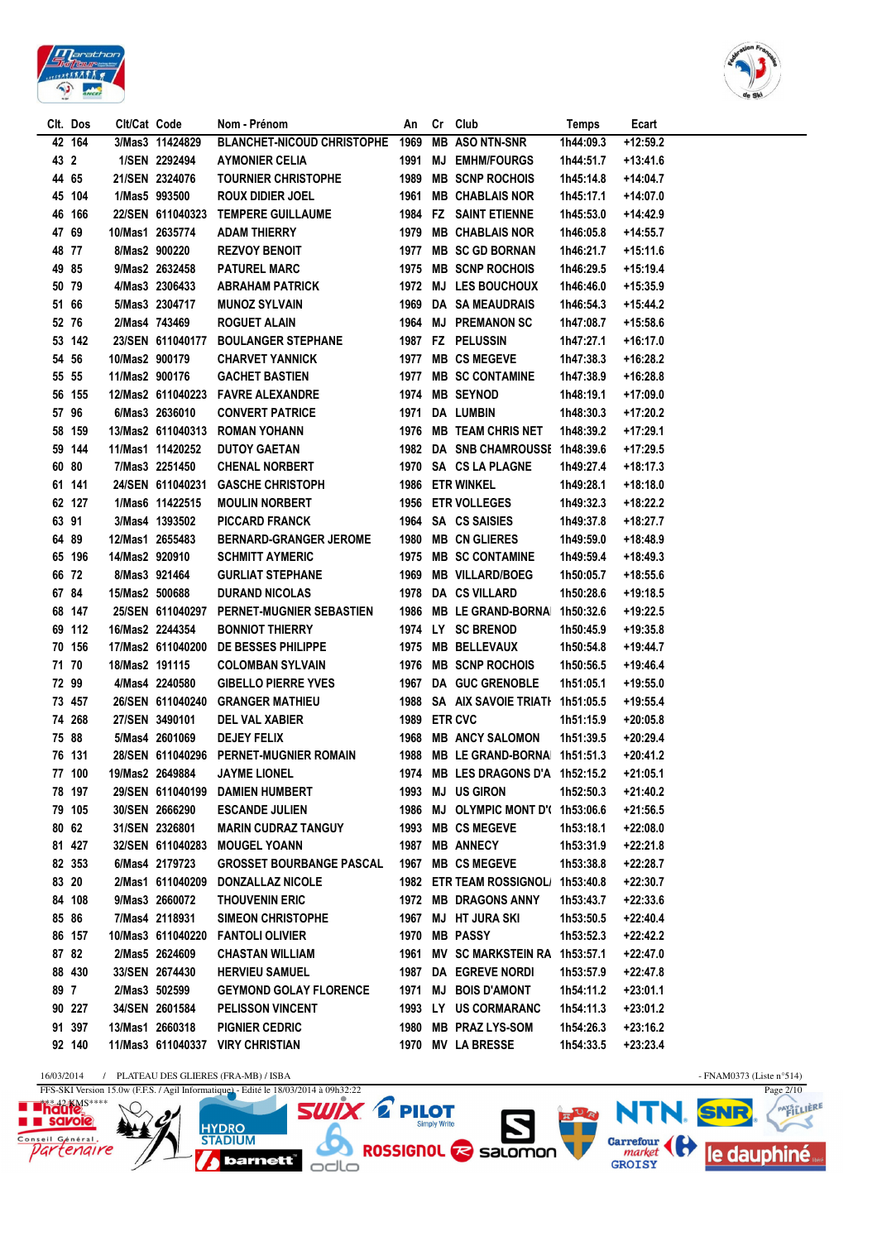



|      | CIt. Dos         | Cit/Cat Code   |                                    | Nom - Prénom                                    | An           | Cr Club                             | Temps     | Ecart                    |
|------|------------------|----------------|------------------------------------|-------------------------------------------------|--------------|-------------------------------------|-----------|--------------------------|
|      | 42 164           |                | 3/Mas3 11424829                    | BLANCHET-NICOUD CHRISTOPHE 1969 MB ASO NTN-SNR  |              |                                     | 1h44:09.3 | $+12:59.2$               |
| 43 2 |                  |                | 1/SEN 2292494                      | <b>AYMONIER CELIA</b>                           |              | 1991 MJ EMHM/FOURGS                 | 1h44:51.7 | $+13:41.6$               |
|      | 4465             |                | 21/SEN 2324076                     | <b>TOURNIER CHRISTOPHE</b>                      |              | 1989 MB SCNP ROCHOIS                | 1h45:14.8 | +14:04.7                 |
|      | 45 104           |                | 1/Mas5 993500                      | <b>ROUX DIDIER JOEL</b>                         |              | 1961 MB CHABLAIS NOR                | 1h45:17.1 | +14:07.0                 |
|      | 46 166           |                | 22/SEN 611040323                   | <b>TEMPERE GUILLAUME</b>                        |              | 1984 FZ SAINT ETIENNE               | 1h45:53.0 | +14:42.9                 |
|      | 4769             |                | 10/Mas1 2635774                    | ADAM THIERRY                                    |              | 1979 MB CHABLAIS NOR                | 1h46:05.8 | $+14:55.7$               |
|      | 48 77            |                | 8/Mas2 900220                      | <b>REZVOY BENOIT</b>                            |              | 1977 MB SC GD BORNAN                | 1h46:21.7 | $+15:11.6$               |
|      | 49 85            |                | 9/Mas2 2632458                     | <b>PATUREL MARC</b>                             |              | 1975 MB SCNP ROCHOIS                | 1h46:29.5 | $+15:19.4$               |
|      | 50 79            |                | 4/Mas3 2306433                     | <b>ABRAHAM PATRICK</b>                          |              | 1972 MJ LES BOUCHOUX                | 1h46:46.0 | +15:35.9                 |
|      | 51 66            |                | 5/Mas3 2304717                     | <b>MUNOZ SYLVAIN</b>                            |              | 1969 DA SA MEAUDRAIS                | 1h46:54.3 | +15:44.2                 |
|      | 52 76            |                | 2/Mas4 743469                      | <b>ROGUET ALAIN</b>                             |              | 1964 MJ PREMANON SC                 | 1h47:08.7 | $+15:58.6$               |
|      | 53 142           |                | 23/SEN 611040177                   | <b>BOULANGER STEPHANE</b>                       |              | 1987 FZ PELUSSIN                    | 1h47:27.1 | +16:17.0                 |
|      | 54 56            | 10/Mas2 900179 |                                    | <b>CHARVET YANNICK</b>                          |              | 1977 MB CS MEGEVE                   | 1h47:38.3 | +16:28.2                 |
|      | 55 55            | 11/Mas2 900176 |                                    | <b>GACHET BASTIEN</b>                           |              | 1977 MB SC CONTAMINE                | 1h47:38.9 | +16:28.8                 |
|      | 56 155           |                |                                    | 12/Mas2 611040223 FAVRE ALEXANDRE               |              | 1974 MB SEYNOD                      | 1h48:19.1 | +17:09.0                 |
|      | 57 96            |                | 6/Mas3 2636010                     | <b>CONVERT PATRICE</b>                          |              | 1971 DA LUMBIN                      | 1h48:30.3 | +17:20.2                 |
|      | 58 159           |                |                                    | 13/Mas2 611040313 ROMAN YOHANN                  |              | 1976 MB TEAM CHRIS NET              | 1h48:39.2 | +17:29.1                 |
|      | 59 144           |                | 11/Mas1 11420252                   | <b>DUTOY GAETAN</b>                             |              | 1982 DA SNB CHAMROUSSE 1h48:39.6    |           | +17:29.5                 |
|      | 60 80            |                | 7/Mas3 2251450                     | <b>CHENAL NORBERT</b>                           |              | 1970 SA CS LA PLAGNE                | 1h49:27.4 | +18:17.3                 |
|      | 61 141           |                | 24/SEN 611040231                   | <b>GASCHE CHRISTOPH</b>                         |              | 1986 ETR WINKEL                     | 1h49:28.1 | +18:18.0                 |
|      | 62 127           |                | 1/Mas6 11422515                    | <b>MOULIN NORBERT</b>                           |              | 1956 ETR VOLLEGES                   | 1h49:32.3 | +18:22.2                 |
|      | 63 91            |                | 3/Mas4 1393502                     | PICCARD FRANCK                                  |              | 1964 SA CS SAISIES                  | 1h49:37.8 | +18:27.7                 |
|      | 64 89            |                | 12/Mas1 2655483                    | <b>BERNARD-GRANGER JEROME</b>                   |              | 1980 MB CN GLIERES                  | 1h49:59.0 | +18:48.9                 |
|      | 65 196           | 14/Mas2 920910 |                                    | <b>SCHMITT AYMERIC</b>                          |              | 1975 MB SC CONTAMINE                | 1h49:59.4 | $+18:49.3$               |
|      | 66 72            |                | 8/Mas3 921464                      | <b>GURLIAT STEPHANE</b>                         |              | 1969 MB VILLARD/BOEG                | 1h50:05.7 | $+18:55.6$               |
|      | 6784             | 15/Mas2 500688 |                                    | <b>DURAND NICOLAS</b>                           |              | 1978 DA CS VILLARD                  | 1h50:28.6 | $+19:18.5$               |
|      | 68 147           |                | 25/SEN 611040297                   | PERNET-MUGNIER SEBASTIEN                        |              | 1986 MB LE GRAND-BORNA              | 1h50:32.6 | +19:22.5                 |
|      | 69 112           |                | 16/Mas2 2244354                    | <b>BONNIOT THIERRY</b>                          |              | 1974 LY SC BRENOD                   | 1h50:45.9 | $+19:35.8$               |
|      | 70 156           |                | 17/Mas2 611040200                  | DE BESSES PHILIPPE                              |              | 1975 MB BELLEVAUX                   | 1h50:54.8 | +19:44.7                 |
|      | 71 70            | 18/Mas2 191115 |                                    | <b>COLOMBAN SYLVAIN</b>                         |              | 1976 MB SCNP ROCHOIS                | 1h50:56.5 | $+19:46.4$               |
|      | 72 99            |                | 4/Mas4 2240580                     | <b>GIBELLO PIERRE YVES</b>                      |              | 1967 DA GUC GRENOBLE                | 1h51:05.1 | $+19:55.0$               |
|      | 73 457<br>74 268 |                | 26/SEN 611040240<br>27/SEN 3490101 | <b>GRANGER MATHIEU</b><br><b>DEL VAL XABIER</b> | 1989 ETR CVC | 1988 SA AIX SAVOIE TRIATI 1h51:05.5 | 1h51:15.9 | $+19:55.4$<br>$+20:05.8$ |
|      | 75 88            |                | 5/Mas4 2601069                     | <b>DEJEY FELIX</b>                              |              | 1968 MB ANCY SALOMON                | 1h51:39.5 | $+20:29.4$               |
|      | 76 131           |                |                                    | 28/SEN 611040296 PERNET-MUGNIER ROMAIN          |              | 1988 MB LE GRAND-BORNA 1h51:51.3    |           | $+20:41.2$               |
|      | 77 100           |                | 19/Mas2 2649884                    | <b>JAYME LIONEL</b>                             |              | 1974 MB LES DRAGONS D'A 1h52:15.2   |           | +21:05.1                 |
|      | 78 197           |                |                                    | 29/SEN 611040199 DAMIEN HUMBERT                 |              | 1993 MJ US GIRON                    | 1h52:50.3 | +21:40.2                 |
|      | 79 105           |                | 30/SEN 2666290                     | <b>ESCANDE JULIEN</b>                           |              | 1986 MJ OLYMPIC MONT D'(1h53:06.6   |           | $+21:56.5$               |
|      | 80 62            |                | 31/SEN 2326801                     | <b>MARIN CUDRAZ TANGUY</b>                      |              | 1993 MB CS MEGEVE                   | 1h53:18.1 | +22:08.0                 |
|      | 81 427           |                | 32/SEN 611040283                   | <b>MOUGEL YOANN</b>                             |              | 1987 MB ANNECY                      | 1h53:31.9 | $+22:21.8$               |
|      | 82 353           |                | 6/Mas4 2179723                     | GROSSET BOURBANGE PASCAL 1967 MB CS MEGEVE      |              |                                     | 1h53:38.8 | +22:28.7                 |
|      | 83 20            |                | 2/Mas1 611040209                   | <b>DONZALLAZ NICOLE</b>                         |              | 1982 ETR TEAM ROSSIGNOL/ 1h53:40.8  |           | +22:30.7                 |
|      | 84 108           |                | 9/Mas3 2660072                     | <b>THOUVENIN ERIC</b>                           |              | 1972 MB DRAGONS ANNY                | 1h53:43.7 | $+22:33.6$               |
|      | 85 86            |                | 7/Mas4 2118931                     | <b>SIMEON CHRISTOPHE</b>                        |              | 1967 MJ HT JURA SKI                 | 1h53:50.5 | +22:40.4                 |
|      | 86 157           |                | 10/Mas3 611040220                  | <b>FANTOLI OLIVIER</b>                          |              | 1970 MB PASSY                       | 1h53:52.3 | +22:42.2                 |
|      | 87 82            |                | 2/Mas5 2624609                     | <b>CHASTAN WILLIAM</b>                          |              | 1961 MV SC MARKSTEIN RA 1h53:57.1   |           | $+22:47.0$               |
|      | 88 430           |                | 33/SEN 2674430                     | <b>HERVIEU SAMUEL</b>                           |              | 1987 DA EGREVE NORDI                | 1h53:57.9 | $+22:47.8$               |
| 89 7 |                  |                | 2/Mas3 502599                      | <b>GEYMOND GOLAY FLORENCE</b>                   |              | 1971 MJ BOIS D'AMONT                | 1h54:11.2 | +23:01.1                 |
|      | 90 227           |                | 34/SEN 2601584                     | <b>PELISSON VINCENT</b>                         |              | 1993 LY US CORMARANC                | 1h54:11.3 | +23:01.2                 |
|      | 91 397           |                | 13/Mas1 2660318                    | <b>PIGNIER CEDRIC</b>                           |              | 1980 MB PRAZ LYS-SOM                | 1h54:26.3 | $+23:16.2$               |
|      | 92 140           |                | 11/Mas3 611040337                  | <b>VIRY CHRISTIAN</b>                           |              | 1970 MV LA BRESSE                   | 1h54:33.5 | $+23:23.4$               |
|      |                  |                |                                    |                                                 |              |                                     |           |                          |

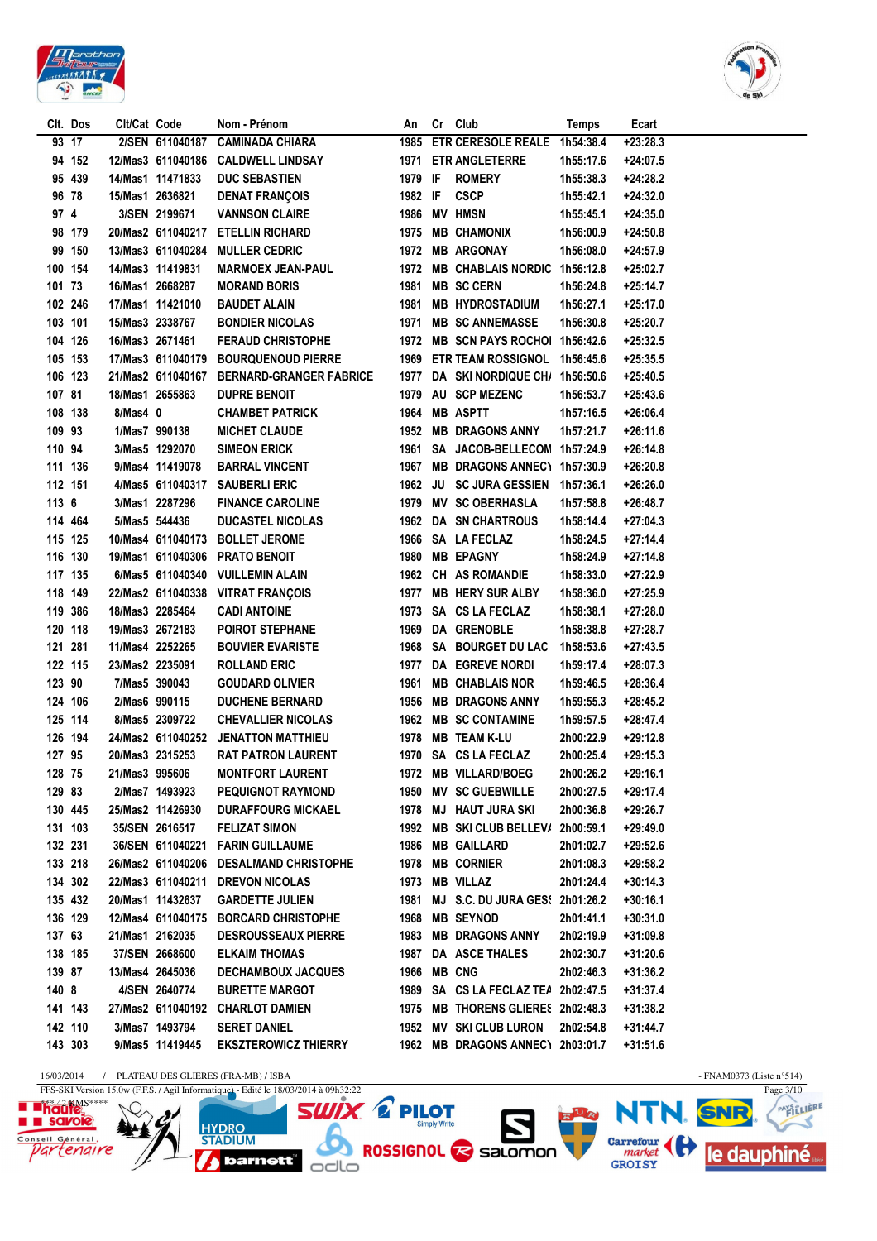



PAYSTLIERE

Ӡ

|         | Clt. Dos | Cit/Cat Code |                   | Nom - Prénom                              | An          | Cr Club                             | Temps     | Ecart      |
|---------|----------|--------------|-------------------|-------------------------------------------|-------------|-------------------------------------|-----------|------------|
|         | 93 17    |              | 2/SEN 611040187   | <b>CAMINADA CHIARA</b>                    |             | 1985 ETR CERESOLE REALE 1h54:38.4   |           | $+23:28.3$ |
|         | 94 152   |              | 12/Mas3 611040186 | <b>CALDWELL LINDSAY</b>                   |             | 1971 ETR ANGLETERRE                 | 1h55:17.6 | $+24:07.5$ |
|         | 95 439   |              | 14/Mas1 11471833  | <b>DUC SEBASTIEN</b>                      | 1979 IF     | <b>ROMERY</b>                       | 1h55:38.3 | +24:28.2   |
|         | 96 78    |              | 15/Mas1 2636821   | <b>DENAT FRANÇOIS</b>                     | 1982 IF     | <b>CSCP</b>                         | 1h55:42.1 | $+24:32.0$ |
| 97 4    |          |              | 3/SEN 2199671     | <b>VANNSON CLAIRE</b>                     |             | 1986 MV HMSN                        | 1h55:45.1 | $+24:35.0$ |
|         | 98 179   |              | 20/Mas2 611040217 | <b>ETELLIN RICHARD</b>                    |             | 1975 MB CHAMONIX                    | 1h56:00.9 | $+24:50.8$ |
|         | 99 150   |              | 13/Mas3 611040284 | <b>MULLER CEDRIC</b>                      |             | 1972 MB ARGONAY                     | 1h56:08.0 | $+24:57.9$ |
|         | 100 154  |              | 14/Mas3 11419831  | <b>MARMOEX JEAN-PAUL</b>                  |             | 1972 MB CHABLAIS NORDIC 1h56:12.8   |           | +25:02.7   |
| 101 73  |          |              | 16/Mas1 2668287   | <b>MORAND BORIS</b>                       |             | 1981 MB SC CERN                     | 1h56:24.8 | $+25:14.7$ |
|         | 102 246  |              | 17/Mas1 11421010  | <b>BAUDET ALAIN</b>                       |             | 1981 MB HYDROSTADIUM                | 1h56:27.1 | $+25:17.0$ |
|         | 103 101  |              | 15/Mas3 2338767   | <b>BONDIER NICOLAS</b>                    |             | 1971 MB SC ANNEMASSE                | 1h56:30.8 | +25:20.7   |
|         | 104 126  |              | 16/Mas3 2671461   | <b>FERAUD CHRISTOPHE</b>                  |             | 1972 MB SCN PAYS ROCHOI 1h56:42.6   |           | $+25:32.5$ |
|         | 105 153  |              |                   | 17/Mas3 611040179 BOURQUENOUD PIERRE      |             | 1969 ETR TEAM ROSSIGNOL 1h56:45.6   |           | $+25:35.5$ |
|         | 106 123  |              |                   | 21/Mas2 611040167 BERNARD-GRANGER FABRICE |             | 1977 DA SKI NORDIQUE CH/ 1h56:50.6  |           | $+25:40.5$ |
| 107 81  |          |              | 18/Mas1 2655863   | <b>DUPRE BENOIT</b>                       |             | 1979 AU SCP MEZENC                  | 1h56:53.7 | $+25:43.6$ |
|         | 108 138  | 8/Mas4 0     |                   | <b>CHAMBET PATRICK</b>                    |             | 1964 MB ASPTT                       | 1h57:16.5 | $+26:06.4$ |
| 109 93  |          |              | 1/Mas7 990138     | <b>MICHET CLAUDE</b>                      |             | 1952 MB DRAGONS ANNY                | 1h57:21.7 | $+26:11.6$ |
| 110 94  |          |              | 3/Mas5 1292070    | <b>SIMEON ERICK</b>                       |             | 1961 SA JACOB-BELLECOM 1h57:24.9    |           | $+26:14.8$ |
|         | 111 136  |              | 9/Mas4 11419078   | <b>BARRAL VINCENT</b>                     |             | 1967 MB DRAGONS ANNEC1 1h57:30.9    |           | +26:20.8   |
| 112 151 |          |              |                   | 4/Mas5 611040317 SAUBERLI ERIC            |             | 1962 JU SC JURA GESSIEN 1h57:36.1   |           | $+26:26.0$ |
| 113 6   |          |              | 3/Mas1 2287296    | <b>FINANCE CAROLINE</b>                   |             | 1979 MV SC OBERHASLA                | 1h57:58.8 | $+26:48.7$ |
|         | 114 464  |              | 5/Mas5 544436     | <b>DUCASTEL NICOLAS</b>                   |             | 1962 DA SN CHARTROUS                | 1h58:14.4 | $+27:04.3$ |
|         | 115 125  |              | 10/Mas4 611040173 | <b>BOLLET JEROME</b>                      |             | 1966 SA LA FECLAZ                   | 1h58:24.5 | $+27:14.4$ |
|         | 116 130  |              | 19/Mas1 611040306 | <b>PRATO BENOIT</b>                       |             | 1980 MB EPAGNY                      | 1h58:24.9 | $+27:14.8$ |
|         | 117 135  |              | 6/Mas5 611040340  | <b>VUILLEMIN ALAIN</b>                    |             | 1962 CH AS ROMANDIE                 | 1h58:33.0 | +27:22.9   |
|         | 118 149  |              | 22/Mas2 611040338 | <b>VITRAT FRANÇOIS</b>                    |             | 1977 MB HERY SUR ALBY               | 1h58:36.0 | +27:25.9   |
|         | 119 386  |              | 18/Mas3 2285464   | <b>CADI ANTOINE</b>                       |             | 1973 SA CS LA FECLAZ                | 1h58:38.1 | $+27:28.0$ |
|         | 120 118  |              | 19/Mas3 2672183   | <b>POIROT STEPHANE</b>                    |             | 1969 DA GRENOBLE                    | 1h58:38.8 | +27:28.7   |
|         | 121 281  |              | 11/Mas4 2252265   | <b>BOUVIER EVARISTE</b>                   |             | 1968 SA BOURGET DU LAC              | 1h58:53.6 | $+27:43.5$ |
|         | 122 115  |              | 23/Mas2 2235091   | <b>ROLLAND ERIC</b>                       |             | 1977 DA EGREVE NORDI                | 1h59:17.4 | $+28:07.3$ |
| 123 90  |          |              | 7/Mas5 390043     | <b>GOUDARD OLIVIER</b>                    |             | 1961 MB CHABLAIS NOR                | 1h59:46.5 | $+28:36.4$ |
|         | 124 106  |              | 2/Mas6 990115     | <b>DUCHENE BERNARD</b>                    |             | 1956 MB DRAGONS ANNY                | 1h59:55.3 | +28:45.2   |
|         | 125 114  |              | 8/Mas5 2309722    | <b>CHEVALLIER NICOLAS</b>                 |             | 1962 MB SC CONTAMINE                | 1h59:57.5 | $+28:47.4$ |
|         | 126 194  |              | 24/Mas2 611040252 | <b>JENATTON MATTHIEU</b>                  |             | 1978 MB TEAM K-LU                   | 2h00:22.9 | +29:12.8   |
| 127 95  |          |              | 20/Mas3 2315253   | <b>RAT PATRON LAURENT</b>                 |             | 1970 SA CS LA FECLAZ                | 2h00:25.4 | $+29:15.3$ |
| 128 75  |          |              | 21/Mas3 995606    | <b>MONTFORT LAURENT</b>                   |             | 1972 MB VILLARD/BOEG                | 2h00:26.2 | $+29:16.1$ |
| 12983   |          |              | 2/Mas7 1493923    | <b>PEQUIGNOT RAYMOND</b>                  |             | 1950 MV SC GUEBWILLE                | 2h00:27.5 | +29:17.4   |
|         | 130 445  |              | 25/Mas2 11426930  | <b>DURAFFOURG MICKAEL</b>                 |             | 1978 MJ HAUT JURA SKI               | 2h00:36.8 | +29:26.7   |
|         | 131 103  |              | 35/SEN 2616517    | <b>FELIZAT SIMON</b>                      |             | 1992 MB SKI CLUB BELLEV/ 2h00:59.1  |           | +29:49.0   |
|         | 132 231  |              |                   | 36/SEN 611040221 FARIN GUILLAUME          |             | 1986 MB GAILLARD                    | 2h01:02.7 | $+29:52.6$ |
|         | 133 218  |              |                   | 26/Mas2 611040206 DESALMAND CHRISTOPHE    |             | 1978 MB CORNIER                     | 2h01:08.3 | +29:58.2   |
|         | 134 302  |              |                   | 22/Mas3 611040211 DREVON NICOLAS          |             | 1973 MB VILLAZ                      | 2h01:24.4 | $+30:14.3$ |
|         | 135 432  |              | 20/Mas1 11432637  | <b>GARDETTE JULIEN</b>                    |             | 1981 MJ S.C. DU JURA GES! 2h01:26.2 |           | $+30:16.1$ |
|         | 136 129  |              | 12/Mas4 611040175 | <b>BORCARD CHRISTOPHE</b>                 |             | 1968 MB SEYNOD                      | 2h01:41.1 | $+30:31.0$ |
| 137 63  |          |              | 21/Mas1 2162035   | <b>DESROUSSEAUX PIERRE</b>                |             | 1983 MB DRAGONS ANNY                | 2h02:19.9 | $+31:09.8$ |
|         | 138 185  |              | 37/SEN 2668600    | <b>ELKAIM THOMAS</b>                      |             | 1987 DA ASCE THALES                 | 2h02:30.7 | $+31:20.6$ |
| 139 87  |          |              | 13/Mas4 2645036   | <b>DECHAMBOUX JACQUES</b>                 | 1966 MB CNG |                                     | 2h02:46.3 | $+31:36.2$ |
| 140 8   |          |              | 4/SEN 2640774     | <b>BURETTE MARGOT</b>                     |             | 1989 SA CS LA FECLAZ TEA 2h02:47.5  |           | $+31:37.4$ |
|         | 141 143  |              | 27/Mas2 611040192 | <b>CHARLOT DAMIEN</b>                     |             | 1975 MB THORENS GLIERES 2h02:48.3   |           | +31:38.2   |
|         | 142 110  |              | 3/Mas7 1493794    | <b>SERET DANIEL</b>                       |             | 1952 MV SKI CLUB LURON              | 2h02:54.8 | $+31:44.7$ |
|         | 143 303  |              | 9/Mas5 11419445   | <b>EKSZTEROWICZ THIERRY</b>               |             | 1962 MB DRAGONS ANNEC\ 2h03:01.7    |           | $+31:51.6$ |
|         |          |              |                   |                                           |             |                                     |           |            |

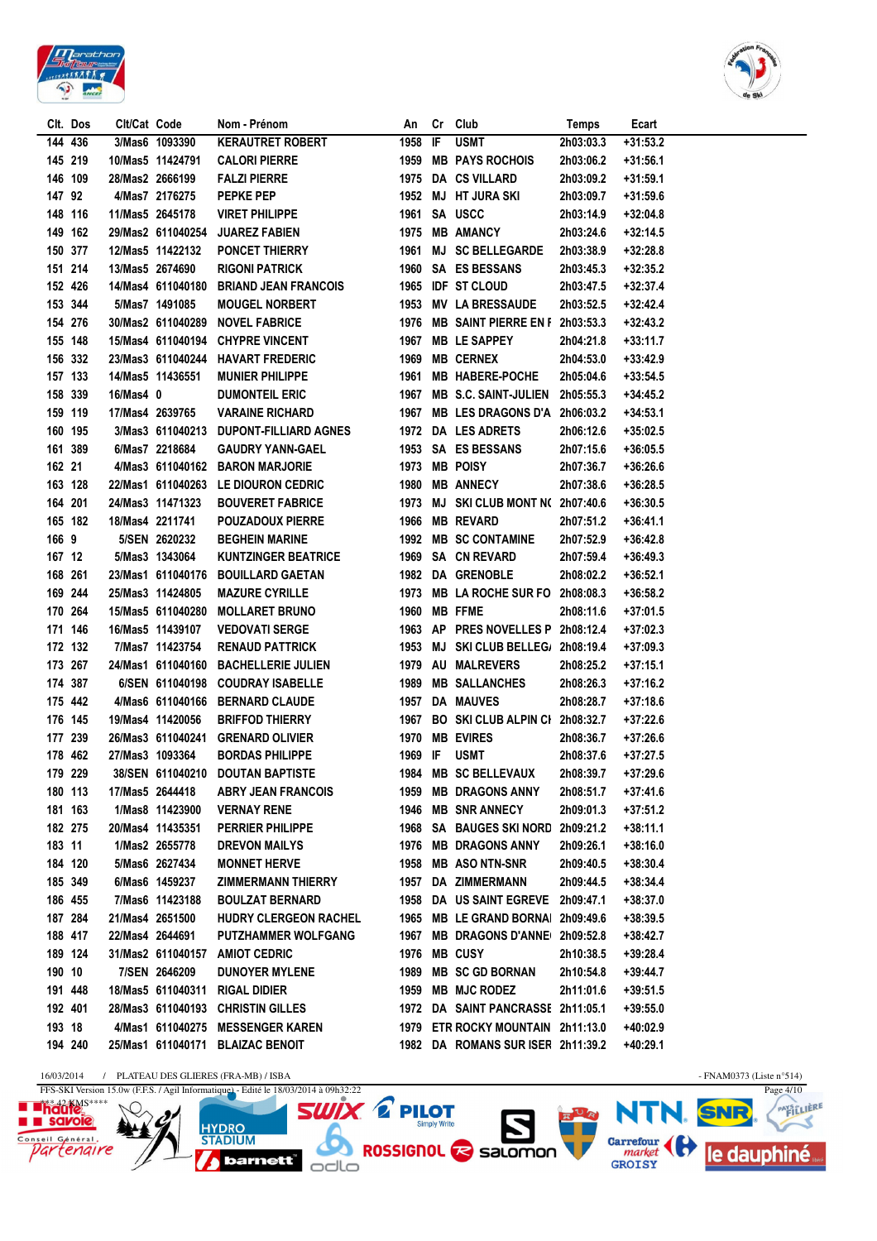



Ӡ

| <b>KERAUTRET ROBERT</b><br>IF<br><b>USMT</b><br>2h03:03.3<br>144 436<br>3/Mas6 1093390<br>1958<br>$+31:53.2$<br>1959 MB PAYS ROCHOIS<br>145 219<br>10/Mas5 11424791<br><b>CALORI PIERRE</b><br>2h03:06.2<br>$+31:56.1$<br>1975 DA CS VILLARD<br>146 109<br>28/Mas2 2666199<br><b>FALZI PIERRE</b><br>$+31:59.1$<br>2h03:09.2<br>147 92<br>4/Mas7 2176275<br><b>PEPKE PEP</b><br>1952 MJ HT JURA SKI<br>2h03:09.7<br>$+31:59.6$<br>1961 SA USCC<br>148 116<br>11/Mas5 2645178<br><b>VIRET PHILIPPE</b><br>2h03:14.9<br>$+32:04.8$<br>149 162<br>29/Mas2 611040254<br><b>JUAREZ FABIEN</b><br>1975 MB AMANCY<br>2h03:24.6<br>$+32:14.5$<br><b>PONCET THIERRY</b><br>1961 MJ SC BELLEGARDE<br>150 377<br>12/Mas5 11422132<br>2h03:38.9<br>$+32:28.8$<br>151 214<br>13/Mas5 2674690<br><b>RIGONI PATRICK</b><br>1960 SA ES BESSANS<br>2h03:45.3<br>+32:35.2<br>1965 IDF ST CLOUD<br>152 426<br>14/Mas4 611040180<br><b>BRIAND JEAN FRANCOIS</b><br>2h03:47.5<br>+32:37.4<br>153 344<br>5/Mas7 1491085<br><b>MOUGEL NORBERT</b><br>1953 MV LA BRESSAUDE<br>2h03:52.5<br>+32:42.4<br>154 276<br>30/Mas2 611040289<br><b>NOVEL FABRICE</b><br>1976 MB SAINT PIERRE EN F 2h03:53.3<br>+32:43.2<br>1967 MB LE SAPPEY<br>155 148<br>15/Mas4 611040194 CHYPRE VINCENT<br>2h04:21.8<br>$+33:11.7$<br>1969 MB CERNEX<br>156 332<br>23/Mas3 611040244 HAVART FREDERIC<br>2h04:53.0<br>$+33:42.9$<br>157 133<br>14/Mas5 11436551<br><b>MUNIER PHILIPPE</b><br>1961 MB HABERE-POCHE<br>2h05:04.6<br>$+33:54.5$<br>1967 MB S.C. SAINT-JULIEN 2h05:55.3<br>158 339<br>16/Mas4 0<br><b>DUMONTEIL ERIC</b><br>+34:45.2<br>159 119<br>17/Mas4 2639765<br><b>VARAINE RICHARD</b><br>1967 MB LES DRAGONS D'A 2h06:03.2<br>$+34:53.1$<br>160 195<br>3/Mas3 611040213 DUPONT-FILLIARD AGNES<br>1972 DA LES ADRETS<br>2h06:12.6<br>$+35:02.5$<br>161 389<br>6/Mas7 2218684<br><b>GAUDRY YANN-GAEL</b><br>1953 SA ES BESSANS<br>2h07:15.6<br>$+36:05.5$<br>162 21<br>4/Mas3 611040162 BARON MARJORIE<br>1973 MB POISY<br>2h07:36.7<br>$+36:26.6$<br>163 128<br>22/Mas1 611040263 LE DIOURON CEDRIC<br>1980 MB ANNECY<br>2h07:38.6<br>+36:28.5<br>164 201<br>24/Mas3 11471323<br><b>BOUVERET FABRICE</b><br>1973 MJ SKI CLUB MONT N(2h07:40.6<br>$+36:30.5$<br>165 182<br>18/Mas4 2211741<br><b>POUZADOUX PIERRE</b><br>1966 MB REVARD<br>$+36:41.1$<br>2h07:51.2<br>166 9<br>5/SEN 2620232<br><b>BEGHEIN MARINE</b><br>1992 MB SC CONTAMINE<br>2h07:52.9<br>$+36:42.8$<br>167 12<br>5/Mas3 1343064<br><b>KUNTZINGER BEATRICE</b><br>1969 SA CN REVARD<br>2h07:59.4<br>$+36:49.3$<br>168 261<br>23/Mas1 611040176 BOUILLARD GAETAN<br>1982 DA GRENOBLE<br>$+36:52.1$<br>2h08:02.2<br>1973 MB LA ROCHE SUR FO 2h08:08.3<br>169 244<br>25/Mas3 11424805<br><b>MAZURE CYRILLE</b><br>+36:58.2<br>1960 MB FFME<br>170 264<br>15/Mas5 611040280<br><b>MOLLARET BRUNO</b><br>2h08:11.6<br>$+37:01.5$<br>171 146<br>1963 AP PRES NOVELLES P 2h08:12.4<br>16/Mas5 11439107<br><b>VEDOVATI SERGE</b><br>+37:02.3<br>172 132<br>7/Mas7 11423754<br><b>RENAUD PATTRICK</b><br>1953 MJ SKI CLUB BELLEG/ 2h08:19.4<br>+37:09.3<br>1979 AU MALREVERS<br>173 267<br>24/Mas1 611040160<br><b>BACHELLERIE JULIEN</b><br>2h08:25.2<br>$+37:15.1$<br>174 387<br>6/SEN 611040198<br><b>COUDRAY ISABELLE</b><br>1989 MB SALLANCHES<br>2h08:26.3<br>+37:16.2<br>1957 DA MAUVES<br>175 442<br>4/Mas6 611040166 BERNARD CLAUDE<br>2h08:28.7<br>+37:18.6<br>176 145<br>19/Mas4 11420056<br>1967 BO SKI CLUB ALPIN CI 2h08:32.7<br><b>BRIFFOD THIERRY</b><br>+37:22.6<br>177 239<br>26/Mas3 611040241<br><b>GRENARD OLIVIER</b><br>1970 MB EVIRES<br>2h08:36.7<br>+37:26.6<br>178 462<br>27/Mas3 1093364<br><b>BORDAS PHILIPPE</b><br>1969 IF USMT<br>2h08:37.6<br>$+37:27.5$<br>179 229<br>38/SEN 611040210 DOUTAN BAPTISTE<br>1984 MB SC BELLEVAUX<br>2h08:39.7<br>$+37:29.6$<br><b>ABRY JEAN FRANCOIS</b><br>1959 MB DRAGONS ANNY<br>180 113<br>17/Mas5 2644418<br>2h08:51.7<br>+37:41.6<br>181 163<br><b>VERNAY RENE</b><br>1946 MB SNR ANNECY<br>2h09:01.3<br>1/Mas8 11423900<br>+37:51.2<br>PERRIER PHILIPPE<br>1968 SA BAUGES SKI NORD 2h09:21.2<br>182 275<br>20/Mas4 11435351<br>+38:11.1<br>183 11<br>1/Mas2 2655778<br><b>DREVON MAILYS</b><br>1976 MB DRAGONS ANNY<br>2h09:26.1<br>+38:16.0<br>184 120<br>5/Mas6 2627434<br><b>MONNET HERVE</b><br>1958 MB ASO NTN-SNR<br>2h09:40.5<br>+38:30.4<br>185 349<br>6/Mas6 1459237<br>ZIMMERMANN THIERRY<br>1957 DA ZIMMERMANN<br>2h09:44.5<br>+38:34.4<br>186 455<br><b>BOULZAT BERNARD</b><br>1958 DA US SAINT EGREVE 2h09:47.1<br>7/Mas6 11423188<br>$+38:37.0$<br>21/Mas4 2651500<br>HUDRY CLERGEON RACHEL<br>1965 MB LE GRAND BORNA 2h09:49.6<br>187 284<br>$+38:39.5$<br>188 417<br>22/Mas4 2644691<br><b>PUTZHAMMER WOLFGANG</b><br>1967 MB DRAGONS D'ANNE 2h09:52.8<br>+38:42.7<br>189 124<br>1976 MB CUSY<br>31/Mas2 611040157 AMIOT CEDRIC<br>2h10:38.5<br>+39:28.4<br>190 10<br>7/SEN 2646209<br>1989 MB SC GD BORNAN<br><b>DUNOYER MYLENE</b><br>2h10:54.8<br>+39:44.7<br>191 448<br>1959 MB MJC RODEZ<br>18/Mas5 611040311 RIGAL DIDIER<br>2h11:01.6<br>+39:51.5<br>192 401<br>28/Mas3 611040193 CHRISTIN GILLES<br>1972 DA SAINT PANCRASSE 2h11:05.1<br>$+39:55.0$<br>193 18<br>4/Mas1 611040275 MESSENGER KAREN<br>1979 ETR ROCKY MOUNTAIN 2h11:13.0<br>+40:02.9<br>194 240<br>25/Mas1 611040171 BLAIZAC BENOIT<br>1982 DA ROMANS SUR ISER 2h11:39.2<br>+40:29.1 | Clt. Dos | Clt/Cat Code | Nom - Prénom | An | Cr Club | <b>Temps</b> | Ecart |
|---------------------------------------------------------------------------------------------------------------------------------------------------------------------------------------------------------------------------------------------------------------------------------------------------------------------------------------------------------------------------------------------------------------------------------------------------------------------------------------------------------------------------------------------------------------------------------------------------------------------------------------------------------------------------------------------------------------------------------------------------------------------------------------------------------------------------------------------------------------------------------------------------------------------------------------------------------------------------------------------------------------------------------------------------------------------------------------------------------------------------------------------------------------------------------------------------------------------------------------------------------------------------------------------------------------------------------------------------------------------------------------------------------------------------------------------------------------------------------------------------------------------------------------------------------------------------------------------------------------------------------------------------------------------------------------------------------------------------------------------------------------------------------------------------------------------------------------------------------------------------------------------------------------------------------------------------------------------------------------------------------------------------------------------------------------------------------------------------------------------------------------------------------------------------------------------------------------------------------------------------------------------------------------------------------------------------------------------------------------------------------------------------------------------------------------------------------------------------------------------------------------------------------------------------------------------------------------------------------------------------------------------------------------------------------------------------------------------------------------------------------------------------------------------------------------------------------------------------------------------------------------------------------------------------------------------------------------------------------------------------------------------------------------------------------------------------------------------------------------------------------------------------------------------------------------------------------------------------------------------------------------------------------------------------------------------------------------------------------------------------------------------------------------------------------------------------------------------------------------------------------------------------------------------------------------------------------------------------------------------------------------------------------------------------------------------------------------------------------------------------------------------------------------------------------------------------------------------------------------------------------------------------------------------------------------------------------------------------------------------------------------------------------------------------------------------------------------------------------------------------------------------------------------------------------------------------------------------------------------------------------------------------------------------------------------------------------------------------------------------------------------------------------------------------------------------------------------------------------------------------------------------------------------------------------------------------------------------------------------------------------------------------------------------------------------------------------------------------------------------------------------------------------------------------------------------------------------------------------------------------------------------------------------------------------------------------------------------------------------------------------------------------------------------------------------------------------------------------------------------------------------------------------------------------------------------------------------------------------------------------------------------------------------------------------------------------------------------------------------------------------|----------|--------------|--------------|----|---------|--------------|-------|
|                                                                                                                                                                                                                                                                                                                                                                                                                                                                                                                                                                                                                                                                                                                                                                                                                                                                                                                                                                                                                                                                                                                                                                                                                                                                                                                                                                                                                                                                                                                                                                                                                                                                                                                                                                                                                                                                                                                                                                                                                                                                                                                                                                                                                                                                                                                                                                                                                                                                                                                                                                                                                                                                                                                                                                                                                                                                                                                                                                                                                                                                                                                                                                                                                                                                                                                                                                                                                                                                                                                                                                                                                                                                                                                                                                                                                                                                                                                                                                                                                                                                                                                                                                                                                                                                                                                                                                                                                                                                                                                                                                                                                                                                                                                                                                                                                                                                                                                                                                                                                                                                                                                                                                                                                                                                                                                                                                                 |          |              |              |    |         |              |       |
|                                                                                                                                                                                                                                                                                                                                                                                                                                                                                                                                                                                                                                                                                                                                                                                                                                                                                                                                                                                                                                                                                                                                                                                                                                                                                                                                                                                                                                                                                                                                                                                                                                                                                                                                                                                                                                                                                                                                                                                                                                                                                                                                                                                                                                                                                                                                                                                                                                                                                                                                                                                                                                                                                                                                                                                                                                                                                                                                                                                                                                                                                                                                                                                                                                                                                                                                                                                                                                                                                                                                                                                                                                                                                                                                                                                                                                                                                                                                                                                                                                                                                                                                                                                                                                                                                                                                                                                                                                                                                                                                                                                                                                                                                                                                                                                                                                                                                                                                                                                                                                                                                                                                                                                                                                                                                                                                                                                 |          |              |              |    |         |              |       |
|                                                                                                                                                                                                                                                                                                                                                                                                                                                                                                                                                                                                                                                                                                                                                                                                                                                                                                                                                                                                                                                                                                                                                                                                                                                                                                                                                                                                                                                                                                                                                                                                                                                                                                                                                                                                                                                                                                                                                                                                                                                                                                                                                                                                                                                                                                                                                                                                                                                                                                                                                                                                                                                                                                                                                                                                                                                                                                                                                                                                                                                                                                                                                                                                                                                                                                                                                                                                                                                                                                                                                                                                                                                                                                                                                                                                                                                                                                                                                                                                                                                                                                                                                                                                                                                                                                                                                                                                                                                                                                                                                                                                                                                                                                                                                                                                                                                                                                                                                                                                                                                                                                                                                                                                                                                                                                                                                                                 |          |              |              |    |         |              |       |
|                                                                                                                                                                                                                                                                                                                                                                                                                                                                                                                                                                                                                                                                                                                                                                                                                                                                                                                                                                                                                                                                                                                                                                                                                                                                                                                                                                                                                                                                                                                                                                                                                                                                                                                                                                                                                                                                                                                                                                                                                                                                                                                                                                                                                                                                                                                                                                                                                                                                                                                                                                                                                                                                                                                                                                                                                                                                                                                                                                                                                                                                                                                                                                                                                                                                                                                                                                                                                                                                                                                                                                                                                                                                                                                                                                                                                                                                                                                                                                                                                                                                                                                                                                                                                                                                                                                                                                                                                                                                                                                                                                                                                                                                                                                                                                                                                                                                                                                                                                                                                                                                                                                                                                                                                                                                                                                                                                                 |          |              |              |    |         |              |       |
|                                                                                                                                                                                                                                                                                                                                                                                                                                                                                                                                                                                                                                                                                                                                                                                                                                                                                                                                                                                                                                                                                                                                                                                                                                                                                                                                                                                                                                                                                                                                                                                                                                                                                                                                                                                                                                                                                                                                                                                                                                                                                                                                                                                                                                                                                                                                                                                                                                                                                                                                                                                                                                                                                                                                                                                                                                                                                                                                                                                                                                                                                                                                                                                                                                                                                                                                                                                                                                                                                                                                                                                                                                                                                                                                                                                                                                                                                                                                                                                                                                                                                                                                                                                                                                                                                                                                                                                                                                                                                                                                                                                                                                                                                                                                                                                                                                                                                                                                                                                                                                                                                                                                                                                                                                                                                                                                                                                 |          |              |              |    |         |              |       |
|                                                                                                                                                                                                                                                                                                                                                                                                                                                                                                                                                                                                                                                                                                                                                                                                                                                                                                                                                                                                                                                                                                                                                                                                                                                                                                                                                                                                                                                                                                                                                                                                                                                                                                                                                                                                                                                                                                                                                                                                                                                                                                                                                                                                                                                                                                                                                                                                                                                                                                                                                                                                                                                                                                                                                                                                                                                                                                                                                                                                                                                                                                                                                                                                                                                                                                                                                                                                                                                                                                                                                                                                                                                                                                                                                                                                                                                                                                                                                                                                                                                                                                                                                                                                                                                                                                                                                                                                                                                                                                                                                                                                                                                                                                                                                                                                                                                                                                                                                                                                                                                                                                                                                                                                                                                                                                                                                                                 |          |              |              |    |         |              |       |
|                                                                                                                                                                                                                                                                                                                                                                                                                                                                                                                                                                                                                                                                                                                                                                                                                                                                                                                                                                                                                                                                                                                                                                                                                                                                                                                                                                                                                                                                                                                                                                                                                                                                                                                                                                                                                                                                                                                                                                                                                                                                                                                                                                                                                                                                                                                                                                                                                                                                                                                                                                                                                                                                                                                                                                                                                                                                                                                                                                                                                                                                                                                                                                                                                                                                                                                                                                                                                                                                                                                                                                                                                                                                                                                                                                                                                                                                                                                                                                                                                                                                                                                                                                                                                                                                                                                                                                                                                                                                                                                                                                                                                                                                                                                                                                                                                                                                                                                                                                                                                                                                                                                                                                                                                                                                                                                                                                                 |          |              |              |    |         |              |       |
|                                                                                                                                                                                                                                                                                                                                                                                                                                                                                                                                                                                                                                                                                                                                                                                                                                                                                                                                                                                                                                                                                                                                                                                                                                                                                                                                                                                                                                                                                                                                                                                                                                                                                                                                                                                                                                                                                                                                                                                                                                                                                                                                                                                                                                                                                                                                                                                                                                                                                                                                                                                                                                                                                                                                                                                                                                                                                                                                                                                                                                                                                                                                                                                                                                                                                                                                                                                                                                                                                                                                                                                                                                                                                                                                                                                                                                                                                                                                                                                                                                                                                                                                                                                                                                                                                                                                                                                                                                                                                                                                                                                                                                                                                                                                                                                                                                                                                                                                                                                                                                                                                                                                                                                                                                                                                                                                                                                 |          |              |              |    |         |              |       |
|                                                                                                                                                                                                                                                                                                                                                                                                                                                                                                                                                                                                                                                                                                                                                                                                                                                                                                                                                                                                                                                                                                                                                                                                                                                                                                                                                                                                                                                                                                                                                                                                                                                                                                                                                                                                                                                                                                                                                                                                                                                                                                                                                                                                                                                                                                                                                                                                                                                                                                                                                                                                                                                                                                                                                                                                                                                                                                                                                                                                                                                                                                                                                                                                                                                                                                                                                                                                                                                                                                                                                                                                                                                                                                                                                                                                                                                                                                                                                                                                                                                                                                                                                                                                                                                                                                                                                                                                                                                                                                                                                                                                                                                                                                                                                                                                                                                                                                                                                                                                                                                                                                                                                                                                                                                                                                                                                                                 |          |              |              |    |         |              |       |
|                                                                                                                                                                                                                                                                                                                                                                                                                                                                                                                                                                                                                                                                                                                                                                                                                                                                                                                                                                                                                                                                                                                                                                                                                                                                                                                                                                                                                                                                                                                                                                                                                                                                                                                                                                                                                                                                                                                                                                                                                                                                                                                                                                                                                                                                                                                                                                                                                                                                                                                                                                                                                                                                                                                                                                                                                                                                                                                                                                                                                                                                                                                                                                                                                                                                                                                                                                                                                                                                                                                                                                                                                                                                                                                                                                                                                                                                                                                                                                                                                                                                                                                                                                                                                                                                                                                                                                                                                                                                                                                                                                                                                                                                                                                                                                                                                                                                                                                                                                                                                                                                                                                                                                                                                                                                                                                                                                                 |          |              |              |    |         |              |       |
|                                                                                                                                                                                                                                                                                                                                                                                                                                                                                                                                                                                                                                                                                                                                                                                                                                                                                                                                                                                                                                                                                                                                                                                                                                                                                                                                                                                                                                                                                                                                                                                                                                                                                                                                                                                                                                                                                                                                                                                                                                                                                                                                                                                                                                                                                                                                                                                                                                                                                                                                                                                                                                                                                                                                                                                                                                                                                                                                                                                                                                                                                                                                                                                                                                                                                                                                                                                                                                                                                                                                                                                                                                                                                                                                                                                                                                                                                                                                                                                                                                                                                                                                                                                                                                                                                                                                                                                                                                                                                                                                                                                                                                                                                                                                                                                                                                                                                                                                                                                                                                                                                                                                                                                                                                                                                                                                                                                 |          |              |              |    |         |              |       |
|                                                                                                                                                                                                                                                                                                                                                                                                                                                                                                                                                                                                                                                                                                                                                                                                                                                                                                                                                                                                                                                                                                                                                                                                                                                                                                                                                                                                                                                                                                                                                                                                                                                                                                                                                                                                                                                                                                                                                                                                                                                                                                                                                                                                                                                                                                                                                                                                                                                                                                                                                                                                                                                                                                                                                                                                                                                                                                                                                                                                                                                                                                                                                                                                                                                                                                                                                                                                                                                                                                                                                                                                                                                                                                                                                                                                                                                                                                                                                                                                                                                                                                                                                                                                                                                                                                                                                                                                                                                                                                                                                                                                                                                                                                                                                                                                                                                                                                                                                                                                                                                                                                                                                                                                                                                                                                                                                                                 |          |              |              |    |         |              |       |
|                                                                                                                                                                                                                                                                                                                                                                                                                                                                                                                                                                                                                                                                                                                                                                                                                                                                                                                                                                                                                                                                                                                                                                                                                                                                                                                                                                                                                                                                                                                                                                                                                                                                                                                                                                                                                                                                                                                                                                                                                                                                                                                                                                                                                                                                                                                                                                                                                                                                                                                                                                                                                                                                                                                                                                                                                                                                                                                                                                                                                                                                                                                                                                                                                                                                                                                                                                                                                                                                                                                                                                                                                                                                                                                                                                                                                                                                                                                                                                                                                                                                                                                                                                                                                                                                                                                                                                                                                                                                                                                                                                                                                                                                                                                                                                                                                                                                                                                                                                                                                                                                                                                                                                                                                                                                                                                                                                                 |          |              |              |    |         |              |       |
|                                                                                                                                                                                                                                                                                                                                                                                                                                                                                                                                                                                                                                                                                                                                                                                                                                                                                                                                                                                                                                                                                                                                                                                                                                                                                                                                                                                                                                                                                                                                                                                                                                                                                                                                                                                                                                                                                                                                                                                                                                                                                                                                                                                                                                                                                                                                                                                                                                                                                                                                                                                                                                                                                                                                                                                                                                                                                                                                                                                                                                                                                                                                                                                                                                                                                                                                                                                                                                                                                                                                                                                                                                                                                                                                                                                                                                                                                                                                                                                                                                                                                                                                                                                                                                                                                                                                                                                                                                                                                                                                                                                                                                                                                                                                                                                                                                                                                                                                                                                                                                                                                                                                                                                                                                                                                                                                                                                 |          |              |              |    |         |              |       |
|                                                                                                                                                                                                                                                                                                                                                                                                                                                                                                                                                                                                                                                                                                                                                                                                                                                                                                                                                                                                                                                                                                                                                                                                                                                                                                                                                                                                                                                                                                                                                                                                                                                                                                                                                                                                                                                                                                                                                                                                                                                                                                                                                                                                                                                                                                                                                                                                                                                                                                                                                                                                                                                                                                                                                                                                                                                                                                                                                                                                                                                                                                                                                                                                                                                                                                                                                                                                                                                                                                                                                                                                                                                                                                                                                                                                                                                                                                                                                                                                                                                                                                                                                                                                                                                                                                                                                                                                                                                                                                                                                                                                                                                                                                                                                                                                                                                                                                                                                                                                                                                                                                                                                                                                                                                                                                                                                                                 |          |              |              |    |         |              |       |
|                                                                                                                                                                                                                                                                                                                                                                                                                                                                                                                                                                                                                                                                                                                                                                                                                                                                                                                                                                                                                                                                                                                                                                                                                                                                                                                                                                                                                                                                                                                                                                                                                                                                                                                                                                                                                                                                                                                                                                                                                                                                                                                                                                                                                                                                                                                                                                                                                                                                                                                                                                                                                                                                                                                                                                                                                                                                                                                                                                                                                                                                                                                                                                                                                                                                                                                                                                                                                                                                                                                                                                                                                                                                                                                                                                                                                                                                                                                                                                                                                                                                                                                                                                                                                                                                                                                                                                                                                                                                                                                                                                                                                                                                                                                                                                                                                                                                                                                                                                                                                                                                                                                                                                                                                                                                                                                                                                                 |          |              |              |    |         |              |       |
|                                                                                                                                                                                                                                                                                                                                                                                                                                                                                                                                                                                                                                                                                                                                                                                                                                                                                                                                                                                                                                                                                                                                                                                                                                                                                                                                                                                                                                                                                                                                                                                                                                                                                                                                                                                                                                                                                                                                                                                                                                                                                                                                                                                                                                                                                                                                                                                                                                                                                                                                                                                                                                                                                                                                                                                                                                                                                                                                                                                                                                                                                                                                                                                                                                                                                                                                                                                                                                                                                                                                                                                                                                                                                                                                                                                                                                                                                                                                                                                                                                                                                                                                                                                                                                                                                                                                                                                                                                                                                                                                                                                                                                                                                                                                                                                                                                                                                                                                                                                                                                                                                                                                                                                                                                                                                                                                                                                 |          |              |              |    |         |              |       |
|                                                                                                                                                                                                                                                                                                                                                                                                                                                                                                                                                                                                                                                                                                                                                                                                                                                                                                                                                                                                                                                                                                                                                                                                                                                                                                                                                                                                                                                                                                                                                                                                                                                                                                                                                                                                                                                                                                                                                                                                                                                                                                                                                                                                                                                                                                                                                                                                                                                                                                                                                                                                                                                                                                                                                                                                                                                                                                                                                                                                                                                                                                                                                                                                                                                                                                                                                                                                                                                                                                                                                                                                                                                                                                                                                                                                                                                                                                                                                                                                                                                                                                                                                                                                                                                                                                                                                                                                                                                                                                                                                                                                                                                                                                                                                                                                                                                                                                                                                                                                                                                                                                                                                                                                                                                                                                                                                                                 |          |              |              |    |         |              |       |
|                                                                                                                                                                                                                                                                                                                                                                                                                                                                                                                                                                                                                                                                                                                                                                                                                                                                                                                                                                                                                                                                                                                                                                                                                                                                                                                                                                                                                                                                                                                                                                                                                                                                                                                                                                                                                                                                                                                                                                                                                                                                                                                                                                                                                                                                                                                                                                                                                                                                                                                                                                                                                                                                                                                                                                                                                                                                                                                                                                                                                                                                                                                                                                                                                                                                                                                                                                                                                                                                                                                                                                                                                                                                                                                                                                                                                                                                                                                                                                                                                                                                                                                                                                                                                                                                                                                                                                                                                                                                                                                                                                                                                                                                                                                                                                                                                                                                                                                                                                                                                                                                                                                                                                                                                                                                                                                                                                                 |          |              |              |    |         |              |       |
|                                                                                                                                                                                                                                                                                                                                                                                                                                                                                                                                                                                                                                                                                                                                                                                                                                                                                                                                                                                                                                                                                                                                                                                                                                                                                                                                                                                                                                                                                                                                                                                                                                                                                                                                                                                                                                                                                                                                                                                                                                                                                                                                                                                                                                                                                                                                                                                                                                                                                                                                                                                                                                                                                                                                                                                                                                                                                                                                                                                                                                                                                                                                                                                                                                                                                                                                                                                                                                                                                                                                                                                                                                                                                                                                                                                                                                                                                                                                                                                                                                                                                                                                                                                                                                                                                                                                                                                                                                                                                                                                                                                                                                                                                                                                                                                                                                                                                                                                                                                                                                                                                                                                                                                                                                                                                                                                                                                 |          |              |              |    |         |              |       |
|                                                                                                                                                                                                                                                                                                                                                                                                                                                                                                                                                                                                                                                                                                                                                                                                                                                                                                                                                                                                                                                                                                                                                                                                                                                                                                                                                                                                                                                                                                                                                                                                                                                                                                                                                                                                                                                                                                                                                                                                                                                                                                                                                                                                                                                                                                                                                                                                                                                                                                                                                                                                                                                                                                                                                                                                                                                                                                                                                                                                                                                                                                                                                                                                                                                                                                                                                                                                                                                                                                                                                                                                                                                                                                                                                                                                                                                                                                                                                                                                                                                                                                                                                                                                                                                                                                                                                                                                                                                                                                                                                                                                                                                                                                                                                                                                                                                                                                                                                                                                                                                                                                                                                                                                                                                                                                                                                                                 |          |              |              |    |         |              |       |
|                                                                                                                                                                                                                                                                                                                                                                                                                                                                                                                                                                                                                                                                                                                                                                                                                                                                                                                                                                                                                                                                                                                                                                                                                                                                                                                                                                                                                                                                                                                                                                                                                                                                                                                                                                                                                                                                                                                                                                                                                                                                                                                                                                                                                                                                                                                                                                                                                                                                                                                                                                                                                                                                                                                                                                                                                                                                                                                                                                                                                                                                                                                                                                                                                                                                                                                                                                                                                                                                                                                                                                                                                                                                                                                                                                                                                                                                                                                                                                                                                                                                                                                                                                                                                                                                                                                                                                                                                                                                                                                                                                                                                                                                                                                                                                                                                                                                                                                                                                                                                                                                                                                                                                                                                                                                                                                                                                                 |          |              |              |    |         |              |       |
|                                                                                                                                                                                                                                                                                                                                                                                                                                                                                                                                                                                                                                                                                                                                                                                                                                                                                                                                                                                                                                                                                                                                                                                                                                                                                                                                                                                                                                                                                                                                                                                                                                                                                                                                                                                                                                                                                                                                                                                                                                                                                                                                                                                                                                                                                                                                                                                                                                                                                                                                                                                                                                                                                                                                                                                                                                                                                                                                                                                                                                                                                                                                                                                                                                                                                                                                                                                                                                                                                                                                                                                                                                                                                                                                                                                                                                                                                                                                                                                                                                                                                                                                                                                                                                                                                                                                                                                                                                                                                                                                                                                                                                                                                                                                                                                                                                                                                                                                                                                                                                                                                                                                                                                                                                                                                                                                                                                 |          |              |              |    |         |              |       |
|                                                                                                                                                                                                                                                                                                                                                                                                                                                                                                                                                                                                                                                                                                                                                                                                                                                                                                                                                                                                                                                                                                                                                                                                                                                                                                                                                                                                                                                                                                                                                                                                                                                                                                                                                                                                                                                                                                                                                                                                                                                                                                                                                                                                                                                                                                                                                                                                                                                                                                                                                                                                                                                                                                                                                                                                                                                                                                                                                                                                                                                                                                                                                                                                                                                                                                                                                                                                                                                                                                                                                                                                                                                                                                                                                                                                                                                                                                                                                                                                                                                                                                                                                                                                                                                                                                                                                                                                                                                                                                                                                                                                                                                                                                                                                                                                                                                                                                                                                                                                                                                                                                                                                                                                                                                                                                                                                                                 |          |              |              |    |         |              |       |
|                                                                                                                                                                                                                                                                                                                                                                                                                                                                                                                                                                                                                                                                                                                                                                                                                                                                                                                                                                                                                                                                                                                                                                                                                                                                                                                                                                                                                                                                                                                                                                                                                                                                                                                                                                                                                                                                                                                                                                                                                                                                                                                                                                                                                                                                                                                                                                                                                                                                                                                                                                                                                                                                                                                                                                                                                                                                                                                                                                                                                                                                                                                                                                                                                                                                                                                                                                                                                                                                                                                                                                                                                                                                                                                                                                                                                                                                                                                                                                                                                                                                                                                                                                                                                                                                                                                                                                                                                                                                                                                                                                                                                                                                                                                                                                                                                                                                                                                                                                                                                                                                                                                                                                                                                                                                                                                                                                                 |          |              |              |    |         |              |       |
|                                                                                                                                                                                                                                                                                                                                                                                                                                                                                                                                                                                                                                                                                                                                                                                                                                                                                                                                                                                                                                                                                                                                                                                                                                                                                                                                                                                                                                                                                                                                                                                                                                                                                                                                                                                                                                                                                                                                                                                                                                                                                                                                                                                                                                                                                                                                                                                                                                                                                                                                                                                                                                                                                                                                                                                                                                                                                                                                                                                                                                                                                                                                                                                                                                                                                                                                                                                                                                                                                                                                                                                                                                                                                                                                                                                                                                                                                                                                                                                                                                                                                                                                                                                                                                                                                                                                                                                                                                                                                                                                                                                                                                                                                                                                                                                                                                                                                                                                                                                                                                                                                                                                                                                                                                                                                                                                                                                 |          |              |              |    |         |              |       |
|                                                                                                                                                                                                                                                                                                                                                                                                                                                                                                                                                                                                                                                                                                                                                                                                                                                                                                                                                                                                                                                                                                                                                                                                                                                                                                                                                                                                                                                                                                                                                                                                                                                                                                                                                                                                                                                                                                                                                                                                                                                                                                                                                                                                                                                                                                                                                                                                                                                                                                                                                                                                                                                                                                                                                                                                                                                                                                                                                                                                                                                                                                                                                                                                                                                                                                                                                                                                                                                                                                                                                                                                                                                                                                                                                                                                                                                                                                                                                                                                                                                                                                                                                                                                                                                                                                                                                                                                                                                                                                                                                                                                                                                                                                                                                                                                                                                                                                                                                                                                                                                                                                                                                                                                                                                                                                                                                                                 |          |              |              |    |         |              |       |
|                                                                                                                                                                                                                                                                                                                                                                                                                                                                                                                                                                                                                                                                                                                                                                                                                                                                                                                                                                                                                                                                                                                                                                                                                                                                                                                                                                                                                                                                                                                                                                                                                                                                                                                                                                                                                                                                                                                                                                                                                                                                                                                                                                                                                                                                                                                                                                                                                                                                                                                                                                                                                                                                                                                                                                                                                                                                                                                                                                                                                                                                                                                                                                                                                                                                                                                                                                                                                                                                                                                                                                                                                                                                                                                                                                                                                                                                                                                                                                                                                                                                                                                                                                                                                                                                                                                                                                                                                                                                                                                                                                                                                                                                                                                                                                                                                                                                                                                                                                                                                                                                                                                                                                                                                                                                                                                                                                                 |          |              |              |    |         |              |       |
|                                                                                                                                                                                                                                                                                                                                                                                                                                                                                                                                                                                                                                                                                                                                                                                                                                                                                                                                                                                                                                                                                                                                                                                                                                                                                                                                                                                                                                                                                                                                                                                                                                                                                                                                                                                                                                                                                                                                                                                                                                                                                                                                                                                                                                                                                                                                                                                                                                                                                                                                                                                                                                                                                                                                                                                                                                                                                                                                                                                                                                                                                                                                                                                                                                                                                                                                                                                                                                                                                                                                                                                                                                                                                                                                                                                                                                                                                                                                                                                                                                                                                                                                                                                                                                                                                                                                                                                                                                                                                                                                                                                                                                                                                                                                                                                                                                                                                                                                                                                                                                                                                                                                                                                                                                                                                                                                                                                 |          |              |              |    |         |              |       |
|                                                                                                                                                                                                                                                                                                                                                                                                                                                                                                                                                                                                                                                                                                                                                                                                                                                                                                                                                                                                                                                                                                                                                                                                                                                                                                                                                                                                                                                                                                                                                                                                                                                                                                                                                                                                                                                                                                                                                                                                                                                                                                                                                                                                                                                                                                                                                                                                                                                                                                                                                                                                                                                                                                                                                                                                                                                                                                                                                                                                                                                                                                                                                                                                                                                                                                                                                                                                                                                                                                                                                                                                                                                                                                                                                                                                                                                                                                                                                                                                                                                                                                                                                                                                                                                                                                                                                                                                                                                                                                                                                                                                                                                                                                                                                                                                                                                                                                                                                                                                                                                                                                                                                                                                                                                                                                                                                                                 |          |              |              |    |         |              |       |
|                                                                                                                                                                                                                                                                                                                                                                                                                                                                                                                                                                                                                                                                                                                                                                                                                                                                                                                                                                                                                                                                                                                                                                                                                                                                                                                                                                                                                                                                                                                                                                                                                                                                                                                                                                                                                                                                                                                                                                                                                                                                                                                                                                                                                                                                                                                                                                                                                                                                                                                                                                                                                                                                                                                                                                                                                                                                                                                                                                                                                                                                                                                                                                                                                                                                                                                                                                                                                                                                                                                                                                                                                                                                                                                                                                                                                                                                                                                                                                                                                                                                                                                                                                                                                                                                                                                                                                                                                                                                                                                                                                                                                                                                                                                                                                                                                                                                                                                                                                                                                                                                                                                                                                                                                                                                                                                                                                                 |          |              |              |    |         |              |       |
|                                                                                                                                                                                                                                                                                                                                                                                                                                                                                                                                                                                                                                                                                                                                                                                                                                                                                                                                                                                                                                                                                                                                                                                                                                                                                                                                                                                                                                                                                                                                                                                                                                                                                                                                                                                                                                                                                                                                                                                                                                                                                                                                                                                                                                                                                                                                                                                                                                                                                                                                                                                                                                                                                                                                                                                                                                                                                                                                                                                                                                                                                                                                                                                                                                                                                                                                                                                                                                                                                                                                                                                                                                                                                                                                                                                                                                                                                                                                                                                                                                                                                                                                                                                                                                                                                                                                                                                                                                                                                                                                                                                                                                                                                                                                                                                                                                                                                                                                                                                                                                                                                                                                                                                                                                                                                                                                                                                 |          |              |              |    |         |              |       |
|                                                                                                                                                                                                                                                                                                                                                                                                                                                                                                                                                                                                                                                                                                                                                                                                                                                                                                                                                                                                                                                                                                                                                                                                                                                                                                                                                                                                                                                                                                                                                                                                                                                                                                                                                                                                                                                                                                                                                                                                                                                                                                                                                                                                                                                                                                                                                                                                                                                                                                                                                                                                                                                                                                                                                                                                                                                                                                                                                                                                                                                                                                                                                                                                                                                                                                                                                                                                                                                                                                                                                                                                                                                                                                                                                                                                                                                                                                                                                                                                                                                                                                                                                                                                                                                                                                                                                                                                                                                                                                                                                                                                                                                                                                                                                                                                                                                                                                                                                                                                                                                                                                                                                                                                                                                                                                                                                                                 |          |              |              |    |         |              |       |
|                                                                                                                                                                                                                                                                                                                                                                                                                                                                                                                                                                                                                                                                                                                                                                                                                                                                                                                                                                                                                                                                                                                                                                                                                                                                                                                                                                                                                                                                                                                                                                                                                                                                                                                                                                                                                                                                                                                                                                                                                                                                                                                                                                                                                                                                                                                                                                                                                                                                                                                                                                                                                                                                                                                                                                                                                                                                                                                                                                                                                                                                                                                                                                                                                                                                                                                                                                                                                                                                                                                                                                                                                                                                                                                                                                                                                                                                                                                                                                                                                                                                                                                                                                                                                                                                                                                                                                                                                                                                                                                                                                                                                                                                                                                                                                                                                                                                                                                                                                                                                                                                                                                                                                                                                                                                                                                                                                                 |          |              |              |    |         |              |       |
|                                                                                                                                                                                                                                                                                                                                                                                                                                                                                                                                                                                                                                                                                                                                                                                                                                                                                                                                                                                                                                                                                                                                                                                                                                                                                                                                                                                                                                                                                                                                                                                                                                                                                                                                                                                                                                                                                                                                                                                                                                                                                                                                                                                                                                                                                                                                                                                                                                                                                                                                                                                                                                                                                                                                                                                                                                                                                                                                                                                                                                                                                                                                                                                                                                                                                                                                                                                                                                                                                                                                                                                                                                                                                                                                                                                                                                                                                                                                                                                                                                                                                                                                                                                                                                                                                                                                                                                                                                                                                                                                                                                                                                                                                                                                                                                                                                                                                                                                                                                                                                                                                                                                                                                                                                                                                                                                                                                 |          |              |              |    |         |              |       |
|                                                                                                                                                                                                                                                                                                                                                                                                                                                                                                                                                                                                                                                                                                                                                                                                                                                                                                                                                                                                                                                                                                                                                                                                                                                                                                                                                                                                                                                                                                                                                                                                                                                                                                                                                                                                                                                                                                                                                                                                                                                                                                                                                                                                                                                                                                                                                                                                                                                                                                                                                                                                                                                                                                                                                                                                                                                                                                                                                                                                                                                                                                                                                                                                                                                                                                                                                                                                                                                                                                                                                                                                                                                                                                                                                                                                                                                                                                                                                                                                                                                                                                                                                                                                                                                                                                                                                                                                                                                                                                                                                                                                                                                                                                                                                                                                                                                                                                                                                                                                                                                                                                                                                                                                                                                                                                                                                                                 |          |              |              |    |         |              |       |
|                                                                                                                                                                                                                                                                                                                                                                                                                                                                                                                                                                                                                                                                                                                                                                                                                                                                                                                                                                                                                                                                                                                                                                                                                                                                                                                                                                                                                                                                                                                                                                                                                                                                                                                                                                                                                                                                                                                                                                                                                                                                                                                                                                                                                                                                                                                                                                                                                                                                                                                                                                                                                                                                                                                                                                                                                                                                                                                                                                                                                                                                                                                                                                                                                                                                                                                                                                                                                                                                                                                                                                                                                                                                                                                                                                                                                                                                                                                                                                                                                                                                                                                                                                                                                                                                                                                                                                                                                                                                                                                                                                                                                                                                                                                                                                                                                                                                                                                                                                                                                                                                                                                                                                                                                                                                                                                                                                                 |          |              |              |    |         |              |       |
|                                                                                                                                                                                                                                                                                                                                                                                                                                                                                                                                                                                                                                                                                                                                                                                                                                                                                                                                                                                                                                                                                                                                                                                                                                                                                                                                                                                                                                                                                                                                                                                                                                                                                                                                                                                                                                                                                                                                                                                                                                                                                                                                                                                                                                                                                                                                                                                                                                                                                                                                                                                                                                                                                                                                                                                                                                                                                                                                                                                                                                                                                                                                                                                                                                                                                                                                                                                                                                                                                                                                                                                                                                                                                                                                                                                                                                                                                                                                                                                                                                                                                                                                                                                                                                                                                                                                                                                                                                                                                                                                                                                                                                                                                                                                                                                                                                                                                                                                                                                                                                                                                                                                                                                                                                                                                                                                                                                 |          |              |              |    |         |              |       |
|                                                                                                                                                                                                                                                                                                                                                                                                                                                                                                                                                                                                                                                                                                                                                                                                                                                                                                                                                                                                                                                                                                                                                                                                                                                                                                                                                                                                                                                                                                                                                                                                                                                                                                                                                                                                                                                                                                                                                                                                                                                                                                                                                                                                                                                                                                                                                                                                                                                                                                                                                                                                                                                                                                                                                                                                                                                                                                                                                                                                                                                                                                                                                                                                                                                                                                                                                                                                                                                                                                                                                                                                                                                                                                                                                                                                                                                                                                                                                                                                                                                                                                                                                                                                                                                                                                                                                                                                                                                                                                                                                                                                                                                                                                                                                                                                                                                                                                                                                                                                                                                                                                                                                                                                                                                                                                                                                                                 |          |              |              |    |         |              |       |
|                                                                                                                                                                                                                                                                                                                                                                                                                                                                                                                                                                                                                                                                                                                                                                                                                                                                                                                                                                                                                                                                                                                                                                                                                                                                                                                                                                                                                                                                                                                                                                                                                                                                                                                                                                                                                                                                                                                                                                                                                                                                                                                                                                                                                                                                                                                                                                                                                                                                                                                                                                                                                                                                                                                                                                                                                                                                                                                                                                                                                                                                                                                                                                                                                                                                                                                                                                                                                                                                                                                                                                                                                                                                                                                                                                                                                                                                                                                                                                                                                                                                                                                                                                                                                                                                                                                                                                                                                                                                                                                                                                                                                                                                                                                                                                                                                                                                                                                                                                                                                                                                                                                                                                                                                                                                                                                                                                                 |          |              |              |    |         |              |       |
|                                                                                                                                                                                                                                                                                                                                                                                                                                                                                                                                                                                                                                                                                                                                                                                                                                                                                                                                                                                                                                                                                                                                                                                                                                                                                                                                                                                                                                                                                                                                                                                                                                                                                                                                                                                                                                                                                                                                                                                                                                                                                                                                                                                                                                                                                                                                                                                                                                                                                                                                                                                                                                                                                                                                                                                                                                                                                                                                                                                                                                                                                                                                                                                                                                                                                                                                                                                                                                                                                                                                                                                                                                                                                                                                                                                                                                                                                                                                                                                                                                                                                                                                                                                                                                                                                                                                                                                                                                                                                                                                                                                                                                                                                                                                                                                                                                                                                                                                                                                                                                                                                                                                                                                                                                                                                                                                                                                 |          |              |              |    |         |              |       |
|                                                                                                                                                                                                                                                                                                                                                                                                                                                                                                                                                                                                                                                                                                                                                                                                                                                                                                                                                                                                                                                                                                                                                                                                                                                                                                                                                                                                                                                                                                                                                                                                                                                                                                                                                                                                                                                                                                                                                                                                                                                                                                                                                                                                                                                                                                                                                                                                                                                                                                                                                                                                                                                                                                                                                                                                                                                                                                                                                                                                                                                                                                                                                                                                                                                                                                                                                                                                                                                                                                                                                                                                                                                                                                                                                                                                                                                                                                                                                                                                                                                                                                                                                                                                                                                                                                                                                                                                                                                                                                                                                                                                                                                                                                                                                                                                                                                                                                                                                                                                                                                                                                                                                                                                                                                                                                                                                                                 |          |              |              |    |         |              |       |
|                                                                                                                                                                                                                                                                                                                                                                                                                                                                                                                                                                                                                                                                                                                                                                                                                                                                                                                                                                                                                                                                                                                                                                                                                                                                                                                                                                                                                                                                                                                                                                                                                                                                                                                                                                                                                                                                                                                                                                                                                                                                                                                                                                                                                                                                                                                                                                                                                                                                                                                                                                                                                                                                                                                                                                                                                                                                                                                                                                                                                                                                                                                                                                                                                                                                                                                                                                                                                                                                                                                                                                                                                                                                                                                                                                                                                                                                                                                                                                                                                                                                                                                                                                                                                                                                                                                                                                                                                                                                                                                                                                                                                                                                                                                                                                                                                                                                                                                                                                                                                                                                                                                                                                                                                                                                                                                                                                                 |          |              |              |    |         |              |       |
|                                                                                                                                                                                                                                                                                                                                                                                                                                                                                                                                                                                                                                                                                                                                                                                                                                                                                                                                                                                                                                                                                                                                                                                                                                                                                                                                                                                                                                                                                                                                                                                                                                                                                                                                                                                                                                                                                                                                                                                                                                                                                                                                                                                                                                                                                                                                                                                                                                                                                                                                                                                                                                                                                                                                                                                                                                                                                                                                                                                                                                                                                                                                                                                                                                                                                                                                                                                                                                                                                                                                                                                                                                                                                                                                                                                                                                                                                                                                                                                                                                                                                                                                                                                                                                                                                                                                                                                                                                                                                                                                                                                                                                                                                                                                                                                                                                                                                                                                                                                                                                                                                                                                                                                                                                                                                                                                                                                 |          |              |              |    |         |              |       |
|                                                                                                                                                                                                                                                                                                                                                                                                                                                                                                                                                                                                                                                                                                                                                                                                                                                                                                                                                                                                                                                                                                                                                                                                                                                                                                                                                                                                                                                                                                                                                                                                                                                                                                                                                                                                                                                                                                                                                                                                                                                                                                                                                                                                                                                                                                                                                                                                                                                                                                                                                                                                                                                                                                                                                                                                                                                                                                                                                                                                                                                                                                                                                                                                                                                                                                                                                                                                                                                                                                                                                                                                                                                                                                                                                                                                                                                                                                                                                                                                                                                                                                                                                                                                                                                                                                                                                                                                                                                                                                                                                                                                                                                                                                                                                                                                                                                                                                                                                                                                                                                                                                                                                                                                                                                                                                                                                                                 |          |              |              |    |         |              |       |
|                                                                                                                                                                                                                                                                                                                                                                                                                                                                                                                                                                                                                                                                                                                                                                                                                                                                                                                                                                                                                                                                                                                                                                                                                                                                                                                                                                                                                                                                                                                                                                                                                                                                                                                                                                                                                                                                                                                                                                                                                                                                                                                                                                                                                                                                                                                                                                                                                                                                                                                                                                                                                                                                                                                                                                                                                                                                                                                                                                                                                                                                                                                                                                                                                                                                                                                                                                                                                                                                                                                                                                                                                                                                                                                                                                                                                                                                                                                                                                                                                                                                                                                                                                                                                                                                                                                                                                                                                                                                                                                                                                                                                                                                                                                                                                                                                                                                                                                                                                                                                                                                                                                                                                                                                                                                                                                                                                                 |          |              |              |    |         |              |       |
|                                                                                                                                                                                                                                                                                                                                                                                                                                                                                                                                                                                                                                                                                                                                                                                                                                                                                                                                                                                                                                                                                                                                                                                                                                                                                                                                                                                                                                                                                                                                                                                                                                                                                                                                                                                                                                                                                                                                                                                                                                                                                                                                                                                                                                                                                                                                                                                                                                                                                                                                                                                                                                                                                                                                                                                                                                                                                                                                                                                                                                                                                                                                                                                                                                                                                                                                                                                                                                                                                                                                                                                                                                                                                                                                                                                                                                                                                                                                                                                                                                                                                                                                                                                                                                                                                                                                                                                                                                                                                                                                                                                                                                                                                                                                                                                                                                                                                                                                                                                                                                                                                                                                                                                                                                                                                                                                                                                 |          |              |              |    |         |              |       |
|                                                                                                                                                                                                                                                                                                                                                                                                                                                                                                                                                                                                                                                                                                                                                                                                                                                                                                                                                                                                                                                                                                                                                                                                                                                                                                                                                                                                                                                                                                                                                                                                                                                                                                                                                                                                                                                                                                                                                                                                                                                                                                                                                                                                                                                                                                                                                                                                                                                                                                                                                                                                                                                                                                                                                                                                                                                                                                                                                                                                                                                                                                                                                                                                                                                                                                                                                                                                                                                                                                                                                                                                                                                                                                                                                                                                                                                                                                                                                                                                                                                                                                                                                                                                                                                                                                                                                                                                                                                                                                                                                                                                                                                                                                                                                                                                                                                                                                                                                                                                                                                                                                                                                                                                                                                                                                                                                                                 |          |              |              |    |         |              |       |
|                                                                                                                                                                                                                                                                                                                                                                                                                                                                                                                                                                                                                                                                                                                                                                                                                                                                                                                                                                                                                                                                                                                                                                                                                                                                                                                                                                                                                                                                                                                                                                                                                                                                                                                                                                                                                                                                                                                                                                                                                                                                                                                                                                                                                                                                                                                                                                                                                                                                                                                                                                                                                                                                                                                                                                                                                                                                                                                                                                                                                                                                                                                                                                                                                                                                                                                                                                                                                                                                                                                                                                                                                                                                                                                                                                                                                                                                                                                                                                                                                                                                                                                                                                                                                                                                                                                                                                                                                                                                                                                                                                                                                                                                                                                                                                                                                                                                                                                                                                                                                                                                                                                                                                                                                                                                                                                                                                                 |          |              |              |    |         |              |       |
|                                                                                                                                                                                                                                                                                                                                                                                                                                                                                                                                                                                                                                                                                                                                                                                                                                                                                                                                                                                                                                                                                                                                                                                                                                                                                                                                                                                                                                                                                                                                                                                                                                                                                                                                                                                                                                                                                                                                                                                                                                                                                                                                                                                                                                                                                                                                                                                                                                                                                                                                                                                                                                                                                                                                                                                                                                                                                                                                                                                                                                                                                                                                                                                                                                                                                                                                                                                                                                                                                                                                                                                                                                                                                                                                                                                                                                                                                                                                                                                                                                                                                                                                                                                                                                                                                                                                                                                                                                                                                                                                                                                                                                                                                                                                                                                                                                                                                                                                                                                                                                                                                                                                                                                                                                                                                                                                                                                 |          |              |              |    |         |              |       |
|                                                                                                                                                                                                                                                                                                                                                                                                                                                                                                                                                                                                                                                                                                                                                                                                                                                                                                                                                                                                                                                                                                                                                                                                                                                                                                                                                                                                                                                                                                                                                                                                                                                                                                                                                                                                                                                                                                                                                                                                                                                                                                                                                                                                                                                                                                                                                                                                                                                                                                                                                                                                                                                                                                                                                                                                                                                                                                                                                                                                                                                                                                                                                                                                                                                                                                                                                                                                                                                                                                                                                                                                                                                                                                                                                                                                                                                                                                                                                                                                                                                                                                                                                                                                                                                                                                                                                                                                                                                                                                                                                                                                                                                                                                                                                                                                                                                                                                                                                                                                                                                                                                                                                                                                                                                                                                                                                                                 |          |              |              |    |         |              |       |

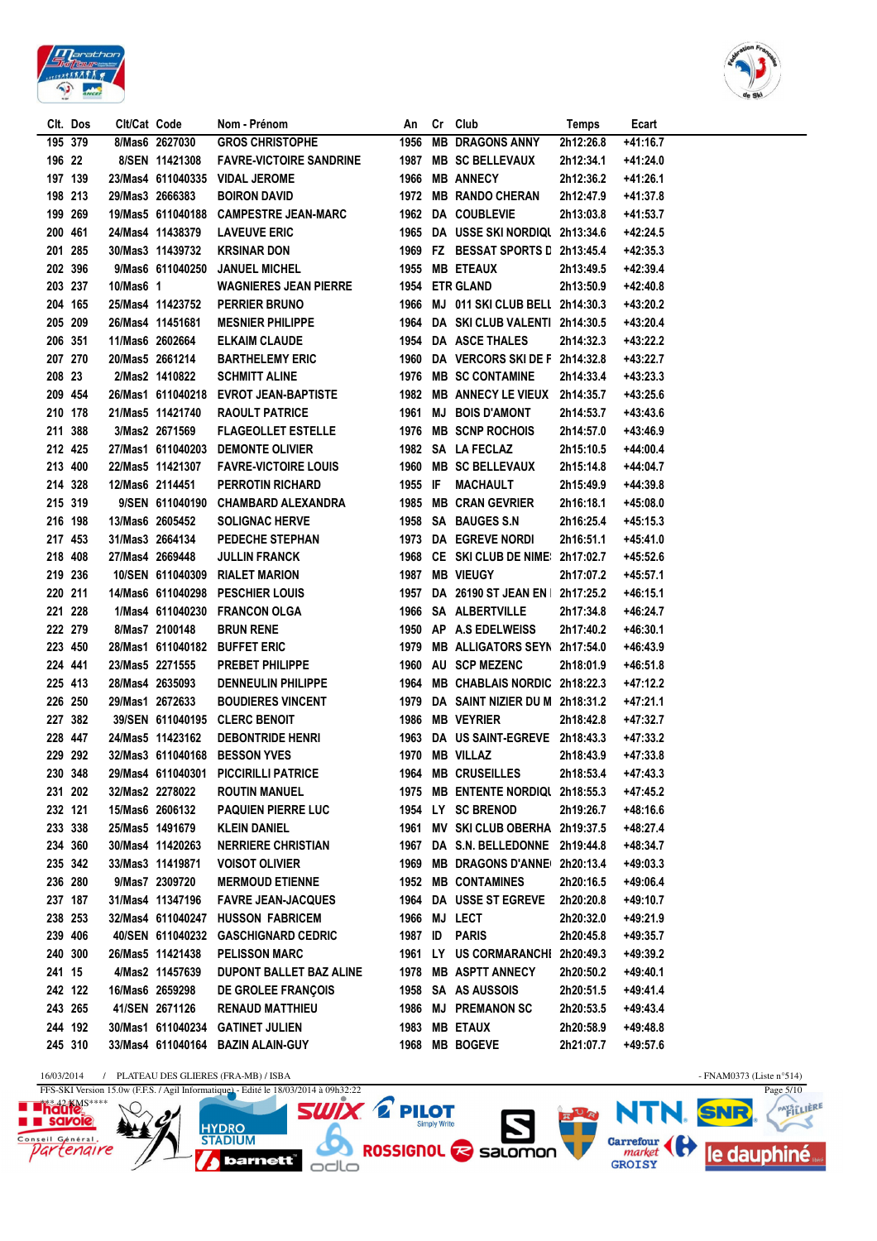





1969

1955

1954

1966

1964

1954

1960

1976

1982

1961

1976

 $1082$ 

**MB ETEAUX** 

**ETR GLAND** 

**DA ASCE THALES** 

**MB SC CONTAMINE** 

**MB SCNP ROCHOIS** 

SA IA FECIAZ

**MB ANNECY LE VIEUX** 

**BOIS D'AMONT** 

**DA** 

MJ

**KRSINAR DON** 

**JANUEL MICHEL** 

**PERRIER BRUNO** 

FI KAIM CI AUDE

**SCHMITT ALINE** 

**RAOULT PATRICE** 

DEMONTE OI IVIER

**MESNIER PHILIPPE** 

**BARTHELEMY ERIC** 

**EVROT JEAN-BAPTISTE** 

**FLAGEOLLET ESTELLE** 

**WAGNIERES JEAN PIERRE** 



**Temps** 

2h12:26.8

2h12:34.1

 $2h12.362$ 

 $2h12:47.9$ 

2h13:03.8

2h13:49.5

2h13:50.9

 $2h14:32.3$ 

2h14:33.4

 $2h14.357$ 

2h14:53.7

2h14:57.0

 $2h15:10.5$ 

FZ BESSAT SPORTS D 2h13:45.4

MJ 011 SKI CLUB BELL 2h14:30.3

DA VERCORS SKI DE F 2h14:32.8

SKI CLUB VALENTI 2h14:30.5

Ecart

 $+41.167$ 

 $+41:24.0$ 

 $+41.261$ 

 $+41:37.8$ 

 $+41:53.7$ 

 $+42.245$ 

 $+42:35.3$ 

 $+42:39.4$ 

 $+42:40.8$ 

 $+43:20.2$ 

 $+43:20.4$ 

 $+43:22.2$ 

 $+43:22.7$ 

 $+43:23.3$ 

 $+43.256$ 

 $+43:43.6$ 

 $+43:46.9$ 

 $+44.004$ 

Clt. Dos

195 379

196 22

197 139

198 213

200 461

201 285

202 396

203 237

204 165

205 209

206 351

207 270

208 23

209 454

210 178

211 388

 $212, 425$ 

30/Mas3 11439732

25/Mas4 11423752

26/Mas4 11451681

11/Mas6 2602664

20/Mas5 2661214

2/Mas2 1410822

26/Mas1 611040218

21/Mas5 11421740

3/Mas2 2671569

27/Mas1 611040203

10/Mas6 1

9/Mas6 611040250

199 269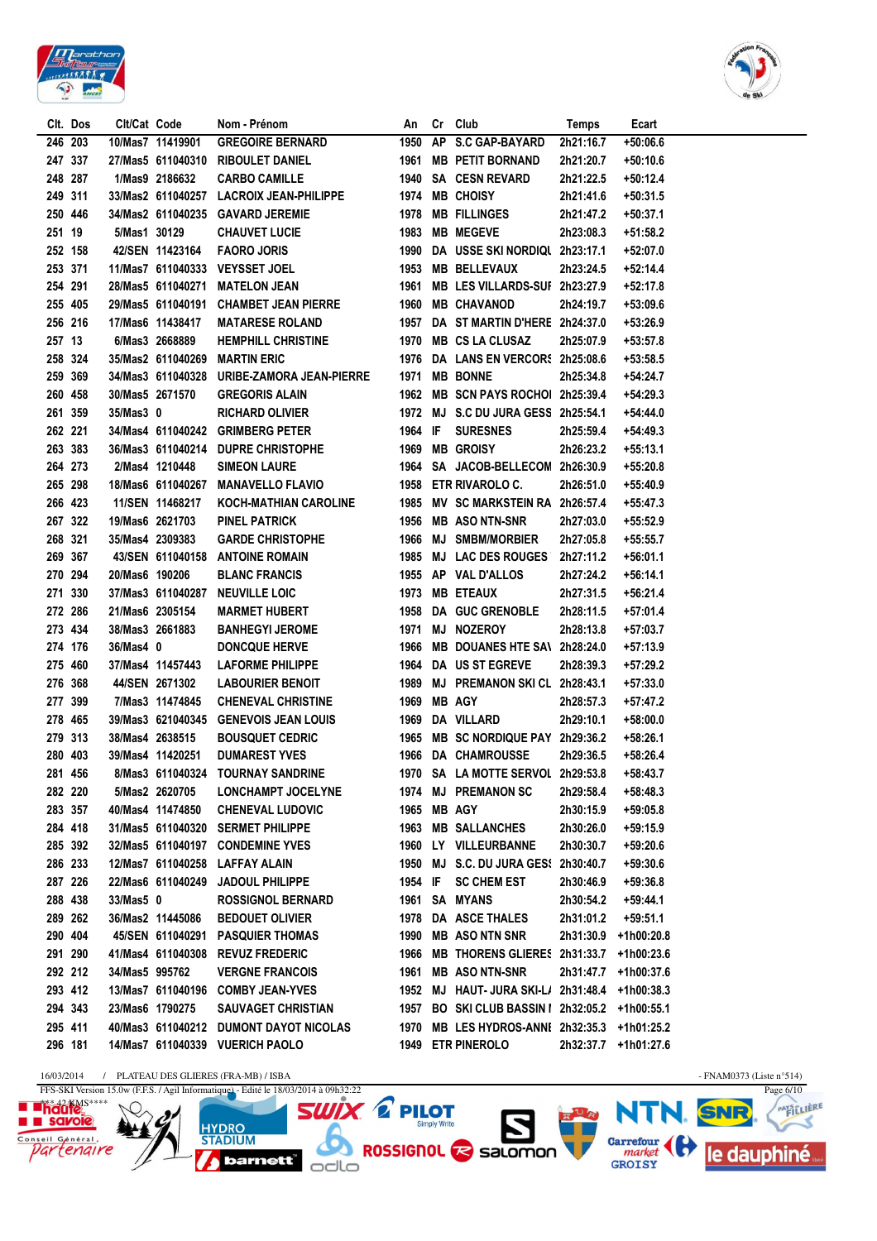



|         | CIt. Dos | Clt/Cat Code   |                   | Nom - Prénom                               |             | An Cr Club                                     | Temps     | Ecart                |  |
|---------|----------|----------------|-------------------|--------------------------------------------|-------------|------------------------------------------------|-----------|----------------------|--|
|         | 246 203  |                | 10/Mas7 11419901  | <b>GREGOIRE BERNARD</b>                    |             | 1950 AP S.C GAP-BAYARD                         | 2h21:16.7 | $+50:06.6$           |  |
|         | 247 337  |                |                   | 27/Mas5 611040310 RIBOULET DANIEL          |             | 1961 MB PETIT BORNAND                          | 2h21:20.7 | +50:10.6             |  |
|         | 248 287  |                | 1/Mas9 2186632    | <b>CARBO CAMILLE</b>                       |             | 1940 SA CESN REVARD                            | 2h21:22.5 | +50:12.4             |  |
|         | 249 311  |                |                   | 33/Mas2 611040257 LACROIX JEAN-PHILIPPE    |             | 1974 MB CHOISY                                 | 2h21:41.6 | $+50:31.5$           |  |
|         | 250 446  |                |                   | 34/Mas2 611040235 GAVARD JEREMIE           |             | 1978 MB FILLINGES                              | 2h21:47.2 | +50:37.1             |  |
| 251 19  |          | 5/Mas1 30129   |                   | <b>CHAUVET LUCIE</b>                       | 1983        | <b>MB MEGEVE</b>                               | 2h23:08.3 | +51:58.2             |  |
|         | 252 158  |                | 42/SEN 11423164   | <b>FAORO JORIS</b>                         |             | 1990 DA USSE SKI NORDIQL 2h23:17.1             |           | +52:07.0             |  |
| 253 371 |          |                |                   | 11/Mas7 611040333 VEYSSET JOEL             |             | 1953 MB BELLEVAUX                              | 2h23:24.5 | $+52:14.4$           |  |
|         | 254 291  |                | 28/Mas5 611040271 | <b>MATELON JEAN</b>                        | 1961        | MB LES VILLARDS-SUI 2h23:27.9                  |           | +52:17.8             |  |
|         | 255 405  |                |                   | 29/Mas5 611040191 CHAMBET JEAN PIERRE      |             | 1960 MB CHAVANOD                               | 2h24:19.7 | +53:09.6             |  |
| 256 216 |          |                | 17/Mas6 11438417  | <b>MATARESE ROLAND</b>                     |             | 1957 DA ST MARTIN D'HERE 2h24:37.0             |           | +53:26.9             |  |
| 257 13  |          |                | 6/Mas3 2668889    | <b>HEMPHILL CHRISTINE</b>                  |             | 1970 MB CS LA CLUSAZ                           | 2h25:07.9 | +53:57.8             |  |
|         | 258 324  |                |                   | 35/Mas2 611040269 MARTIN ERIC              |             | 1976 DA LANS EN VERCORS 2h25:08.6              |           | +53:58.5             |  |
| 259 369 |          |                |                   | 34/Mas3 611040328 URIBE-ZAMORA JEAN-PIERRE |             | 1971 MB BONNE                                  | 2h25:34.8 | +54:24.7             |  |
| 260 458 |          |                | 30/Mas5 2671570   | <b>GREGORIS ALAIN</b>                      |             | 1962 MB SCN PAYS ROCHOI 2h25:39.4              |           | $+54:29.3$           |  |
| 261 359 |          | 35/Mas3 0      |                   | <b>RICHARD OLIVIER</b>                     |             | 1972 MJ S.C DU JURA GESS 2h25:54.1             |           | +54:44.0             |  |
|         | 262 221  |                |                   | 34/Mas4 611040242 GRIMBERG PETER           |             | 1964 IF SURESNES                               | 2h25:59.4 | $+54:49.3$           |  |
| 263 383 |          |                |                   | 36/Mas3 611040214 DUPRE CHRISTOPHE         |             | 1969 MB GROISY                                 | 2h26:23.2 | $+55:13.1$           |  |
| 264 273 |          |                | 2/Mas4 1210448    | <b>SIMEON LAURE</b>                        |             | 1964 SA JACOB-BELLECOM 2h26:30.9               |           | $+55:20.8$           |  |
| 265 298 |          |                |                   | 18/Mas6 611040267 MANAVELLO FLAVIO         |             | 1958 ETR RIVAROLO C.                           | 2h26:51.0 | +55:40.9             |  |
| 266 423 |          |                | 11/SEN 11468217   | <b>KOCH-MATHIAN CAROLINE</b>               |             | 1985 MV SC MARKSTEIN RA 2h26:57.4              |           | +55:47.3             |  |
|         | 267 322  |                | 19/Mas6 2621703   | PINEL PATRICK                              | 1956        | <b>MB ASO NTN-SNR</b>                          | 2h27:03.0 | +55:52.9             |  |
|         | 268 321  |                | 35/Mas4 2309383   | <b>GARDE CHRISTOPHE</b>                    | 1966        | <b>MJ SMBM/MORBIER</b>                         | 2h27:05.8 | +55:55.7             |  |
|         | 269 367  |                |                   | 43/SEN 611040158 ANTOINE ROMAIN            |             | 1985 MJ LAC DES ROUGES                         | 2h27:11.2 | $+56:01.1$           |  |
|         | 270 294  | 20/Mas6 190206 |                   | <b>BLANC FRANCIS</b>                       |             | 1955 AP VAL D'ALLOS                            | 2h27:24.2 | +56:14.1             |  |
|         | 271 330  |                | 37/Mas3 611040287 | <b>NEUVILLE LOIC</b>                       |             | 1973 MB ETEAUX                                 | 2h27:31.5 | +56:21.4             |  |
|         | 272 286  |                | 21/Mas6 2305154   | <b>MARMET HUBERT</b>                       |             | 1958 DA GUC GRENOBLE                           | 2h28:11.5 | +57:01.4             |  |
|         | 273 434  |                | 38/Mas3 2661883   | <b>BANHEGYI JEROME</b>                     | 1971        | <b>MJ NOZEROY</b>                              | 2h28:13.8 | +57:03.7             |  |
|         | 274 176  | 36/Mas4 0      |                   | <b>DONCQUE HERVE</b>                       |             | 1966 MB DOUANES HTE SA\ 2h28:24.0              |           | +57:13.9             |  |
|         | 275 460  |                | 37/Mas4 11457443  | <b>LAFORME PHILIPPE</b>                    |             | 1964 DA US ST EGREVE                           | 2h28:39.3 | +57:29.2             |  |
| 276 368 |          |                | 44/SEN 2671302    | <b>LABOURIER BENOIT</b>                    |             | 1989 MJ PREMANON SKI CL 2h28:43.1              |           | $+57:33.0$           |  |
|         | 277 399  |                | 7/Mas3 11474845   | <b>CHENEVAL CHRISTINE</b>                  | 1969        | <b>MB AGY</b>                                  | 2h28:57.3 | +57:47.2             |  |
|         | 278 465  |                |                   | 39/Mas3 621040345 GENEVOIS JEAN LOUIS      |             | 1969 DA VILLARD                                | 2h29:10.1 | +58:00.0             |  |
|         | 279 313  |                | 38/Mas4 2638515   | <b>BOUSQUET CEDRIC</b>                     |             | 1965 MB SC NORDIQUE PAY 2h29:36.2              |           | $+58:26.1$           |  |
|         | 280 403  |                | 39/Mas4 11420251  | <b>DUMAREST YVES</b>                       |             | 1966 DA CHAMROUSSE                             | 2h29:36.5 | +58:26.4             |  |
|         | 281 456  |                |                   | 8/Mas3 611040324 TOURNAY SANDRINE          |             | 1970 SA LA MOTTE SERVOL 2h29:53.8              |           | +58:43.7             |  |
|         | 282 220  |                | 5/Mas2 2620705    | <b>LONCHAMPT JOCELYNE</b>                  |             | 1974 MJ PREMANON SC                            | 2h29:58.4 | +58:48.3             |  |
|         | 283 357  |                | 40/Mas4 11474850  | <b>CHENEVAL LUDOVIC</b>                    | 1965 MB AGY |                                                | 2h30:15.9 | $+59:05.8$           |  |
|         | 284 418  |                |                   | 31/Mas5 611040320 SERMET PHILIPPE          |             | 1963 MB SALLANCHES                             | 2h30:26.0 | $+59:15.9$           |  |
| 285 392 |          |                |                   | 32/Mas5 611040197 CONDEMINE YVES           |             | 1960 LY VILLEURBANNE                           | 2h30:30.7 | +59:20.6             |  |
|         | 286 233  |                | 12/Mas7 611040258 | LAFFAY ALAIN                               |             | 1950 MJ S.C. DU JURA GES: 2h30:40.7            |           | $+59:30.6$           |  |
| 287 226 |          |                | 22/Mas6 611040249 | <b>JADOUL PHILIPPE</b>                     |             | 1954 IF SC CHEM EST                            | 2h30:46.9 | $+59:36.8$           |  |
| 288 438 |          | 33/Mas5 0      |                   | <b>ROSSIGNOL BERNARD</b>                   |             | 1961 SA MYANS                                  | 2h30:54.2 | $+59:44.1$           |  |
|         | 289 262  |                | 36/Mas2 11445086  | <b>BEDOUET OLIVIER</b>                     |             | 1978 DA ASCE THALES                            | 2h31:01.2 | $+59:51.1$           |  |
|         | 290 404  |                |                   | 45/SEN 611040291 PASQUIER THOMAS           | 1990        | <b>MB ASONTN SNR</b>                           | 2h31:30.9 | +1h00:20.8           |  |
|         | 291 290  |                |                   | 41/Mas4 611040308 REVUZ FREDERIC           | 1966        | MB THORENS GLIERES 2h31:33.7                   |           | +1h00:23.6           |  |
|         | 292 212  | 34/Mas5 995762 |                   | <b>VERGNE FRANCOIS</b>                     | 1961        | <b>MB ASO NTN-SNR</b>                          | 2h31:47.7 | +1h00:37.6           |  |
|         | 293 412  |                |                   | 13/Mas7 611040196 COMBY JEAN-YVES          | 1952        | MJ HAUT-JURA SKI-L/ 2h31:48.4                  |           | +1h00:38.3           |  |
|         | 294 343  |                | 23/Mas6 1790275   | <b>SAUVAGET CHRISTIAN</b>                  |             | 1957 BO SKI CLUB BASSIN   2h32:05.2 +1h00:55.1 |           |                      |  |
|         | 295 411  |                |                   | 40/Mas3 611040212 DUMONT DAYOT NICOLAS     |             | 1970 MB LES HYDROS-ANNI 2h32:35.3              |           | +1h01:25.2           |  |
|         | 296 181  |                |                   | 14/Mas7 611040339 VUERICH PAOLO            |             | 1949 ETR PINEROLO                              |           | 2h32:37.7 +1h01:27.6 |  |
|         |          |                |                   |                                            |             |                                                |           |                      |  |

 $\frac{16/03/2014 \qquad / \qquad \text{PLATEAU DES GLIERES (FRA-MB) / ISBA}}{\text{FFS-SKI Version 15.0w (F.F.S. / Agil Information)} - \text{Edit} \text{ le } 18/03/2014 \text{ à } 09\text{h}32:22}$ **E Phaute**s  $N$ **HYDRO**<br>STADIUM

barnett<sup>"</sup> odlo



 $\overline{\text{SUNX}}$   $\Omega$  PILOT **NTI** RUR ROSSIGNOL & Salomon Garrefour (et dauphiné

- FNAM0373 (Liste n°514)<br>Page  $6/10$ PAYSTLIERE **J. SNR** Ӡ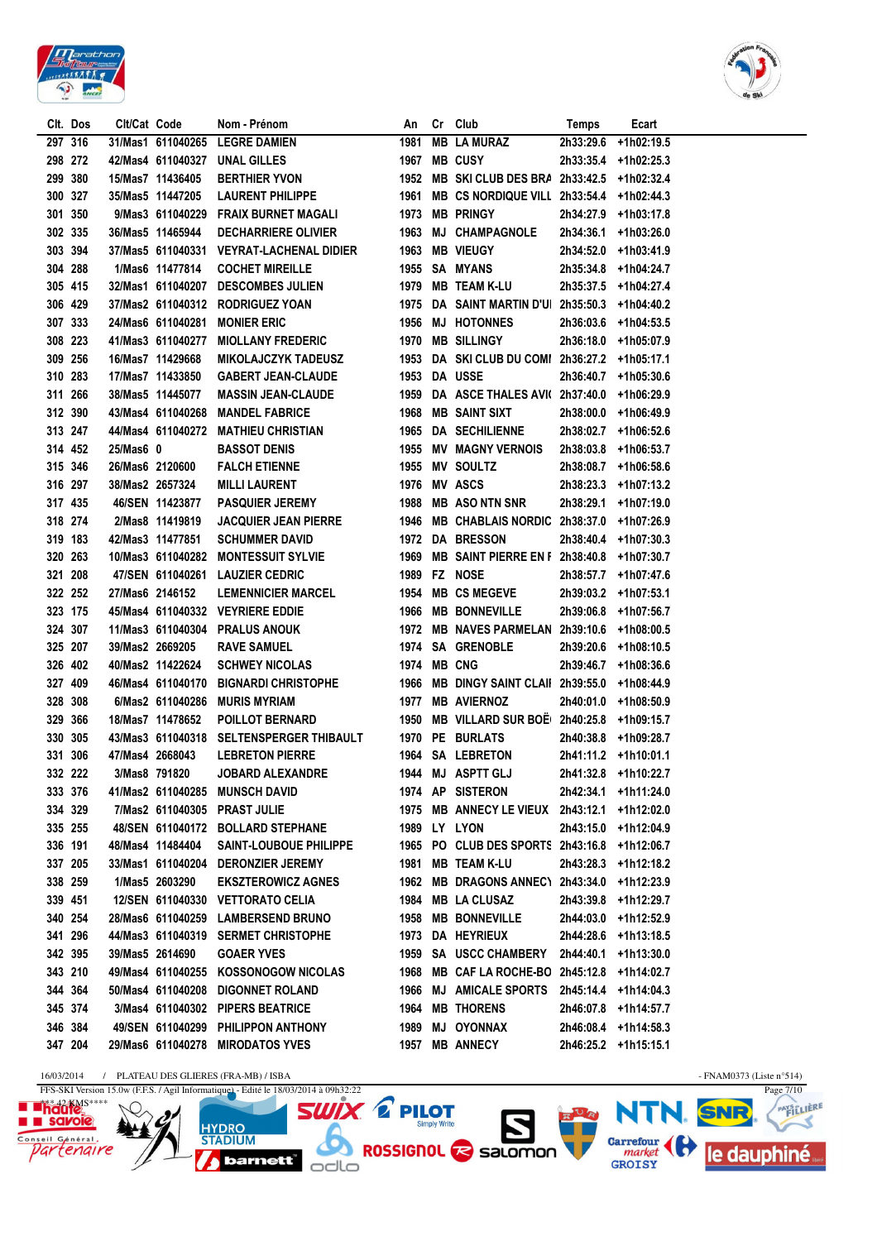



|         | Clt. Dos | Clt/Cat Code |                   | Nom - Prénom                             | An          | Cr Club                                        | Temps                | Ecart                |  |
|---------|----------|--------------|-------------------|------------------------------------------|-------------|------------------------------------------------|----------------------|----------------------|--|
|         | 297 316  |              |                   | 31/Mas1 611040265 LEGRE DAMIEN           | 1981        | <b>MB LA MURAZ</b>                             | 2h33:29.6            | +1h02:19.5           |  |
|         | 298 272  |              |                   | 42/Mas4 611040327 UNAL GILLES            |             | 1967 MB CUSY                                   |                      | 2h33:35.4 +1h02:25.3 |  |
|         | 299 380  |              | 15/Mas7 11436405  | <b>BERTHIER YVON</b>                     |             | 1952 MB SKI CLUB DES BRA 2h33:42.5 +1h02:32.4  |                      |                      |  |
|         | 300 327  |              | 35/Mas5 11447205  | <b>LAURENT PHILIPPE</b>                  |             | 1961 MB CS NORDIQUE VILL 2h33:54.4 +1h02:44.3  |                      |                      |  |
| 301 350 |          |              |                   | 9/Mas3 611040229 FRAIX BURNET MAGALI     |             | 1973 MB PRINGY                                 |                      | 2h34:27.9 +1h03:17.8 |  |
| 302 335 |          |              | 36/Mas5 11465944  | <b>DECHARRIERE OLIVIER</b>               |             | 1963 MJ CHAMPAGNOLE                            |                      | 2h34:36.1 +1h03:26.0 |  |
|         | 303 394  |              |                   | 37/Mas5 611040331 VEYRAT-LACHENAL DIDIER |             | 1963 MB VIEUGY                                 |                      | 2h34:52.0 +1h03:41.9 |  |
| 304 288 |          |              | 1/Mas6 11477814   | <b>COCHET MIREILLE</b>                   |             | 1955 SA MYANS                                  |                      | 2h35:34.8 +1h04:24.7 |  |
|         | 305 415  |              |                   | 32/Mas1 611040207 DESCOMBES JULIEN       |             | 1979 MB TEAM K-LU                              |                      | 2h35:37.5 +1h04:27.4 |  |
|         | 306 429  |              |                   | 37/Mas2 611040312 RODRIGUEZ YOAN         |             | 1975 DA SAINT MARTIN D'UI 2h35:50.3 +1h04:40.2 |                      |                      |  |
|         | 307 333  |              | 24/Mas6 611040281 | <b>MONIER ERIC</b>                       |             | 1956 MJ HOTONNES                               |                      | 2h36:03.6 +1h04:53.5 |  |
|         | 308 223  |              |                   | 41/Mas3 611040277 MIOLLANY FREDERIC      |             | 1970 MB SILLINGY                               |                      | 2h36:18.0 +1h05:07.9 |  |
|         | 309 256  |              | 16/Mas7 11429668  | <b>MIKOLAJCZYK TADEUSZ</b>               |             | 1953 DA SKI CLUB DU COMI 2h36:27.2 +1h05:17.1  |                      |                      |  |
|         | 310 283  |              | 17/Mas7 11433850  | <b>GABERT JEAN-CLAUDE</b>                |             | 1953 DA USSE                                   |                      | 2h36:40.7 +1h05:30.6 |  |
|         | 311 266  |              | 38/Mas5 11445077  | <b>MASSIN JEAN-CLAUDE</b>                |             | 1959 DA ASCE THALES AVI( 2h37:40.0 +1h06:29.9  |                      |                      |  |
|         | 312 390  |              |                   | 43/Mas4 611040268 MANDEL FABRICE         |             | 1968 MB SAINT SIXT                             |                      | 2h38:00.0 +1h06:49.9 |  |
|         | 313 247  |              |                   | 44/Mas4 611040272 MATHIEU CHRISTIAN      |             | 1965 DA SECHILIENNE                            |                      | 2h38:02.7 +1h06:52.6 |  |
|         | 314 452  | 25/Mas6 0    |                   | <b>BASSOT DENIS</b>                      |             | 1955 MV MAGNY VERNOIS                          |                      | 2h38:03.8 +1h06:53.7 |  |
| 315 346 |          |              | 26/Mas6 2120600   | <b>FALCH ETIENNE</b>                     |             | 1955 MV SOULTZ                                 |                      | 2h38:08.7 +1h06:58.6 |  |
| 316 297 |          |              | 38/Mas2 2657324   | <b>MILLI LAURENT</b>                     |             | 1976 MV ASCS                                   |                      | 2h38:23.3 +1h07:13.2 |  |
|         | 317 435  |              | 46/SEN 11423877   | <b>PASQUIER JEREMY</b>                   |             | 1988 MB ASO NTN SNR                            | 2h38:29.1 +1h07:19.0 |                      |  |
| 318 274 |          |              | 2/Mas8 11419819   | <b>JACQUIER JEAN PIERRE</b>              |             | 1946 MB CHABLAIS NORDIC 2h38:37.0 +1h07:26.9   |                      |                      |  |
| 319 183 |          |              | 42/Mas3 11477851  | <b>SCHUMMER DAVID</b>                    |             | 1972 DA BRESSON                                |                      | 2h38:40.4 +1h07:30.3 |  |
|         | 320 263  |              |                   | 10/Mas3 611040282 MONTESSUIT SYLVIE      |             | 1969 MB SAINT PIERRE EN F 2h38:40.8 +1h07:30.7 |                      |                      |  |
|         | 321 208  |              |                   | 47/SEN 611040261 LAUZIER CEDRIC          |             | 1989 FZ NOSE                                   |                      | 2h38:57.7 +1h07:47.6 |  |
|         | 322 252  |              | 27/Mas6 2146152   | <b>LEMENNICIER MARCEL</b>                |             | 1954 MB CS MEGEVE                              | 2h39:03.2 +1h07:53.1 |                      |  |
|         | 323 175  |              |                   | 45/Mas4 611040332 VEYRIERE EDDIE         |             | 1966 MB BONNEVILLE                             |                      | 2h39:06.8 +1h07:56.7 |  |
|         | 324 307  |              |                   | 11/Mas3 611040304 PRALUS ANOUK           |             | 1972 MB NAVES PARMELAN 2h39:10.6 +1h08:00.5    |                      |                      |  |
| 325 207 |          |              | 39/Mas2 2669205   | <b>RAVE SAMUEL</b>                       |             | 1974 SA GRENOBLE                               |                      | 2h39:20.6 +1h08:10.5 |  |
|         | 326 402  |              | 40/Mas2 11422624  | <b>SCHWEY NICOLAS</b>                    | 1974 MB CNG |                                                |                      | 2h39:46.7 +1h08:36.6 |  |
|         | 327 409  |              |                   | 46/Mas4 611040170 BIGNARDI CHRISTOPHE    |             | 1966 MB DINGY SAINT CLAII 2h39:55.0 +1h08:44.9 |                      |                      |  |
| 328 308 |          |              |                   | 6/Mas2 611040286 MURIS MYRIAM            |             | 1977 MB AVIERNOZ                               |                      | 2h40:01.0 +1h08:50.9 |  |
| 329 366 |          |              | 18/Mas7 11478652  | <b>POILLOT BERNARD</b>                   |             | 1950 MB VILLARD SUR BOE 2h40:25.8 +1h09:15.7   |                      |                      |  |
| 330 305 |          |              |                   | 43/Mas3 611040318 SELTENSPERGER THIBAULT |             | 1970 PE BURLATS                                |                      | 2h40:38.8 +1h09:28.7 |  |
|         | 331 306  |              | 47/Mas4 2668043   | <b>LEBRETON PIERRE</b>                   |             | 1964 SA LEBRETON                               | 2h41:11.2 +1h10:01.1 |                      |  |
|         | 332 222  |              | 3/Mas8 791820     | JOBARD ALEXANDRE                         |             | 1944 MJ ASPTT GLJ                              |                      | 2h41:32.8 +1h10:22.7 |  |
|         | 333 376  |              |                   | 41/Mas2 611040285 MUNSCH DAVID           |             | 1974 AP SISTERON                               |                      | 2h42:34.1 +1h11:24.0 |  |
| 334 329 |          |              |                   | 7/Mas2 611040305 PRAST JULIE             |             | 1975 MB ANNECY LE VIEUX 2h43:12.1 +1h12:02.0   |                      |                      |  |
|         | 335 255  |              |                   | 48/SEN 611040172 BOLLARD STEPHANE        |             | <b>1989 LY LYON</b>                            |                      | 2h43:15.0 +1h12:04.9 |  |
|         | 336 191  |              | 48/Mas4 11484404  | <b>SAINT-LOUBOUE PHILIPPE</b>            |             | 1965 PO CLUB DES SPORTS 2h43:16.8 +1h12:06.7   |                      |                      |  |
| 337 205 |          |              |                   | 33/Mas1 611040204 DERONZIER JEREMY       |             | 1981 MB TEAM K-LU                              |                      | 2h43:28.3 +1h12:18.2 |  |
| 338 259 |          |              | 1/Mas5 2603290    | <b>EKSZTEROWICZ AGNES</b>                |             | 1962 MB DRAGONS ANNEC\ 2h43:34.0 +1h12:23.9    |                      |                      |  |
| 339 451 |          |              |                   | 12/SEN 611040330 VETTORATO CELIA         |             | 1984 MB LA CLUSAZ                              |                      | 2h43:39.8 +1h12:29.7 |  |
| 340 254 |          |              |                   | 28/Mas6 611040259 LAMBERSEND BRUNO       |             | 1958 MB BONNEVILLE                             | 2h44:03.0 +1h12:52.9 |                      |  |
|         | 341 296  |              |                   | 44/Mas3 611040319 SERMET CHRISTOPHE      |             | 1973 DA HEYRIEUX                               |                      | 2h44:28.6 +1h13:18.5 |  |
|         | 342 395  |              | 39/Mas5 2614690   | <b>GOAER YVES</b>                        |             | 1959 SA USCC CHAMBERY 2h44:40.1 +1h13:30.0     |                      |                      |  |
|         | 343 210  |              |                   | 49/Mas4 611040255 KOSSONOGOW NICOLAS     |             | 1968 MB CAF LA ROCHE-BO 2h45:12.8 +1h14:02.7   |                      |                      |  |
|         | 344 364  |              |                   | 50/Mas4 611040208 DIGONNET ROLAND        |             | 1966 MJ AMICALE SPORTS 2h45:14.4 +1h14:04.3    |                      |                      |  |
|         | 345 374  |              |                   | 3/Mas4 611040302 PIPERS BEATRICE         |             | 1964 MB THORENS                                |                      | 2h46:07.8 +1h14:57.7 |  |
|         | 346 384  |              |                   | 49/SEN 611040299 PHILIPPON ANTHONY       |             | 1989 MJ OYONNAX                                |                      | 2h46:08.4 +1h14:58.3 |  |
|         | 347 204  |              |                   | 29/Mas6 611040278 MIRODATOS YVES         |             | 1957 MB ANNECY                                 | 2h46:25.2 +1h15:15.1 |                      |  |
|         |          |              |                   |                                          |             |                                                |                      |                      |  |





 $\overline{\mathbf{SUV}}$   $\overline{\mathbf{X}}$  PILOT **WIX. E PILOT<br>A ROSSIGNOL & Salomon HYDRO**<br>STADIUM *barnett* odlo

- FNAM0373 (Liste n°514)<br>Page 7/10 **NTI** PAYSTLIERE RUR SNR le dauphiné

Ӡ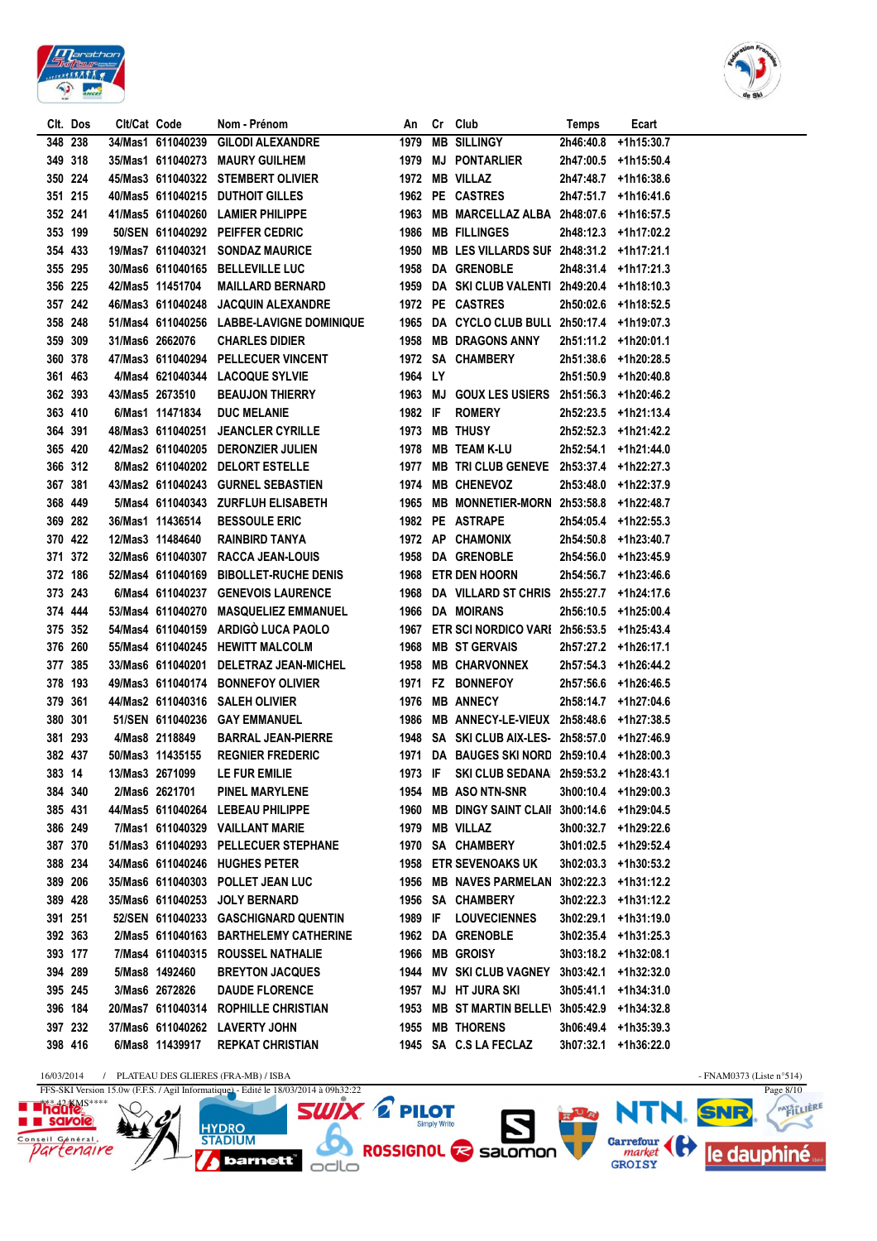



|         | Clt. Dos | Clt/Cat Code |                   | Nom - Prénom                              |         | An Cr Club                                     | Temps     | Ecart                |  |
|---------|----------|--------------|-------------------|-------------------------------------------|---------|------------------------------------------------|-----------|----------------------|--|
|         | 348 238  |              |                   | 34/Mas1 611040239 GILODI ALEXANDRE        |         | 1979 MB SILLINGY                               | 2h46:40.8 | +1h15:30.7           |  |
|         | 349 318  |              |                   | 35/Mas1 611040273 MAURY GUILHEM           |         | 1979 MJ PONTARLIER                             |           | 2h47:00.5 +1h15:50.4 |  |
|         | 350 224  |              |                   | 45/Mas3 611040322 STEMBERT OLIVIER        |         | 1972 MB VILLAZ                                 |           | 2h47:48.7 +1h16:38.6 |  |
|         | 351 215  |              |                   | 40/Mas5 611040215 DUTHOIT GILLES          |         | 1962 PE CASTRES                                |           | 2h47:51.7 +1h16:41.6 |  |
| 352 241 |          |              |                   | 41/Mas5 611040260 LAMIER PHILIPPE         |         | 1963 MB MARCELLAZ ALBA 2h48:07.6 +1h16:57.5    |           |                      |  |
|         | 353 199  |              |                   | 50/SEN 611040292 PEIFFER CEDRIC           |         | 1986 MB FILLINGES                              |           | 2h48:12.3 +1h17:02.2 |  |
|         | 354 433  |              |                   | 19/Mas7 611040321 SONDAZ MAURICE          |         | 1950 MB LES VILLARDS SUF 2h48:31.2 +1h17:21.1  |           |                      |  |
|         | 355 295  |              |                   | 30/Mas6 611040165 BELLEVILLE LUC          |         | 1958 DA GRENOBLE                               |           | 2h48:31.4 +1h17:21.3 |  |
|         | 356 225  |              | 42/Mas5 11451704  | <b>MAILLARD BERNARD</b>                   |         | 1959 DA SKI CLUB VALENTI 2h49:20.4 +1h18:10.3  |           |                      |  |
|         | 357 242  |              |                   | 46/Mas3 611040248 JACQUIN ALEXANDRE       |         | 1972 PE CASTRES                                |           | 2h50:02.6 +1h18:52.5 |  |
|         | 358 248  |              |                   | 51/Mas4 611040256 LABBE-LAVIGNE DOMINIQUE |         | 1965 DA CYCLO CLUB BULL 2h50:17.4 +1h19:07.3   |           |                      |  |
| 359 309 |          |              | 31/Mas6 2662076   | <b>CHARLES DIDIER</b>                     |         | 1958 MB DRAGONS ANNY                           |           | 2h51:11.2 +1h20:01.1 |  |
|         | 360 378  |              |                   | 47/Mas3 611040294 PELLECUER VINCENT       |         | 1972 SA CHAMBERY                               |           | 2h51:38.6 +1h20:28.5 |  |
|         | 361 463  |              |                   | 4/Mas4 621040344 LACOQUE SYLVIE           | 1964 LY |                                                |           | 2h51:50.9 +1h20:40.8 |  |
|         | 362 393  |              | 43/Mas5 2673510   | <b>BEAUJON THIERRY</b>                    |         | 1963 MJ GOUX LES USIERS 2h51:56.3 +1h20:46.2   |           |                      |  |
|         | 363 410  |              | 6/Mas1 11471834   | <b>DUC MELANIE</b>                        |         | 1982 IF ROMERY                                 |           | 2h52:23.5 +1h21:13.4 |  |
| 364 391 |          |              |                   | 48/Mas3 611040251 JEANCLER CYRILLE        |         | 1973 MB THUSY                                  |           | 2h52:52.3 +1h21:42.2 |  |
|         | 365 420  |              |                   | 42/Mas2 611040205 DERONZIER JULIEN        |         | 1978 MB TEAM K-LU                              |           | 2h52:54.1 +1h21:44.0 |  |
|         | 366 312  |              |                   | 8/Mas2 611040202 DELORT ESTELLE           |         | 1977 MB TRI CLUB GENEVE 2h53:37.4 +1h22:27.3   |           |                      |  |
|         | 367 381  |              |                   | 43/Mas2 611040243 GURNEL SEBASTIEN        |         | 1974 MB CHENEVOZ                               |           | 2h53:48.0 +1h22:37.9 |  |
|         | 368 449  |              |                   | 5/Mas4 611040343 ZURFLUH ELISABETH        |         | 1965 MB MONNETIER-MORN 2h53:58.8 +1h22:48.7    |           |                      |  |
|         | 369 282  |              | 36/Mas1 11436514  | <b>BESSOULE ERIC</b>                      |         | 1982 PE ASTRAPE                                |           | 2h54:05.4 +1h22:55.3 |  |
|         | 370 422  |              | 12/Mas3 11484640  | <b>RAINBIRD TANYA</b>                     |         | 1972 AP CHAMONIX                               |           | 2h54:50.8 +1h23:40.7 |  |
|         | 371 372  |              |                   | 32/Mas6 611040307 RACCA JEAN-LOUIS        |         | 1958 DA GRENOBLE                               |           | 2h54:56.0 +1h23:45.9 |  |
|         | 372 186  |              |                   | 52/Mas4 611040169 BIBOLLET-RUCHE DENIS    |         | 1968 ETR DEN HOORN                             |           | 2h54:56.7 +1h23:46.6 |  |
|         | 373 243  |              |                   | 6/Mas4 611040237 GENEVOIS LAURENCE        |         | 1968 DA VILLARD ST CHRIS 2h55:27.7 +1h24:17.6  |           |                      |  |
|         | 374 444  |              |                   | 53/Mas4 611040270 MASQUELIEZ EMMANUEL     |         | 1966 DA MOIRANS                                |           | 2h56:10.5 +1h25:00.4 |  |
|         | 375 352  |              |                   | 54/Mas4 611040159 ARDIGO LUCA PAOLO       |         | 1967 ETR SCI NORDICO VARI 2h56:53.5 +1h25:43.4 |           |                      |  |
|         | 376 260  |              |                   | 55/Mas4 611040245 HEWITT MALCOLM          |         | 1968 MB ST GERVAIS                             |           | 2h57:27.2 +1h26:17.1 |  |
|         | 377 385  |              |                   | 33/Mas6 611040201 DELETRAZ JEAN-MICHEL    |         | 1958 MB CHARVONNEX                             |           | 2h57:54.3 +1h26:44.2 |  |
|         | 378 193  |              |                   | 49/Mas3 611040174 BONNEFOY OLIVIER        |         | 1971 FZ BONNEFOY                               |           | 2h57:56.6 +1h26:46.5 |  |
| 379 361 |          |              |                   | 44/Mas2 611040316 SALEH OLIVIER           |         | 1976 MB ANNECY                                 |           | 2h58:14.7 +1h27:04.6 |  |
| 380 301 |          |              |                   | 51/SEN 611040236 GAY EMMANUEL             |         | 1986 MB ANNECY-LE-VIEUX 2h58:48.6 +1h27:38.5   |           |                      |  |
|         | 381 293  |              | 4/Mas8 2118849    | <b>BARRAL JEAN-PIERRE</b>                 |         | 1948 SA SKI CLUB AIX-LES- 2h58:57.0 +1h27:46.9 |           |                      |  |
|         | 382 437  |              | 50/Mas3 11435155  | <b>REGNIER FREDERIC</b>                   |         | 1971 DA BAUGES SKI NORD 2h59:10.4 +1h28:00.3   |           |                      |  |
|         | 383 14   |              | 13/Mas3 2671099   | <b>LE FUR EMILIE</b>                      |         | 1973 IF SKI CLUB SEDANA 2h59:53.2 +1h28:43.1   |           |                      |  |
|         | 384 340  |              | 2/Mas6 2621701    | <b>PINEL MARYLENE</b>                     |         | 1954 MB ASO NTN-SNR                            |           | 3h00:10.4 +1h29:00.3 |  |
|         | 385 431  |              |                   | 44/Mas5 611040264 LEBEAU PHILIPPE         |         | 1960 MB DINGY SAINT CLAII 3h00:14.6 +1h29:04.5 |           |                      |  |
|         | 386 249  |              |                   | 7/Mas1 611040329 VAILLANT MARIE           |         | 1979 MB VILLAZ                                 |           | 3h00:32.7 +1h29:22.6 |  |
|         | 387 370  |              |                   | 51/Mas3 611040293 PELLECUER STEPHANE      |         | 1970 SA CHAMBERY                               |           | 3h01:02.5 +1h29:52.4 |  |
| 388 234 |          |              |                   | 34/Mas6 611040246 HUGHES PETER            |         | <b>1958 ETR SEVENOAKS UK</b>                   |           | 3h02:03.3 +1h30:53.2 |  |
| 389 206 |          |              |                   | 35/Mas6 611040303 POLLET JEAN LUC         |         | 1956 MB NAVES PARMELAN 3h02:22.3 +1h31:12.2    |           |                      |  |
| 389 428 |          |              | 35/Mas6 611040253 | <b>JOLY BERNARD</b>                       |         | 1956 SA CHAMBERY                               |           | 3h02:22.3 +1h31:12.2 |  |
| 391 251 |          |              |                   | 52/SEN 611040233 GASCHIGNARD QUENTIN      | 1989 IF | <b>LOUVECIENNES</b>                            | 3h02:29.1 | +1h31:19.0           |  |
|         | 392 363  |              |                   | 2/Mas5 611040163 BARTHELEMY CATHERINE     |         | 1962 DA GRENOBLE                               |           | 3h02:35.4 +1h31:25.3 |  |
|         | 393 177  |              |                   | 7/Mas4 611040315 ROUSSEL NATHALIE         |         | 1966 MB GROISY                                 |           | 3h03:18.2 +1h32:08.1 |  |
| 394 289 |          |              | 5/Mas8 1492460    | <b>BREYTON JACQUES</b>                    |         | 1944 MV SKI CLUB VAGNEY 3h03:42.1              |           | +1h32:32.0           |  |
| 395 245 |          |              | 3/Mas6 2672826    | <b>DAUDE FLORENCE</b>                     | 1957    | <b>MJ HT JURA SKI</b>                          | 3h05:41.1 | +1h34:31.0           |  |
|         | 396 184  |              |                   | 20/Mas7 611040314 ROPHILLE CHRISTIAN      | 1953    | MB ST MARTIN BELLE\ 3h05:42.9 +1h34:32.8       |           |                      |  |
|         | 397 232  |              |                   | 37/Mas6 611040262 LAVERTY JOHN            |         | 1955 MB THORENS                                |           | 3h06:49.4 +1h35:39.3 |  |
|         | 398 416  |              | 6/Mas8 11439917   | <b>REPKAT CHRISTIAN</b>                   |         | 1945 SA C.S LA FECLAZ                          |           | 3h07:32.1 +1h36:22.0 |  |
|         |          |              |                   |                                           |         |                                                |           |                      |  |

16/03/2014 / PLATEAU DES GLIERES (FRA-MB) / ISBA - FNAM0373 (Liste n°514)

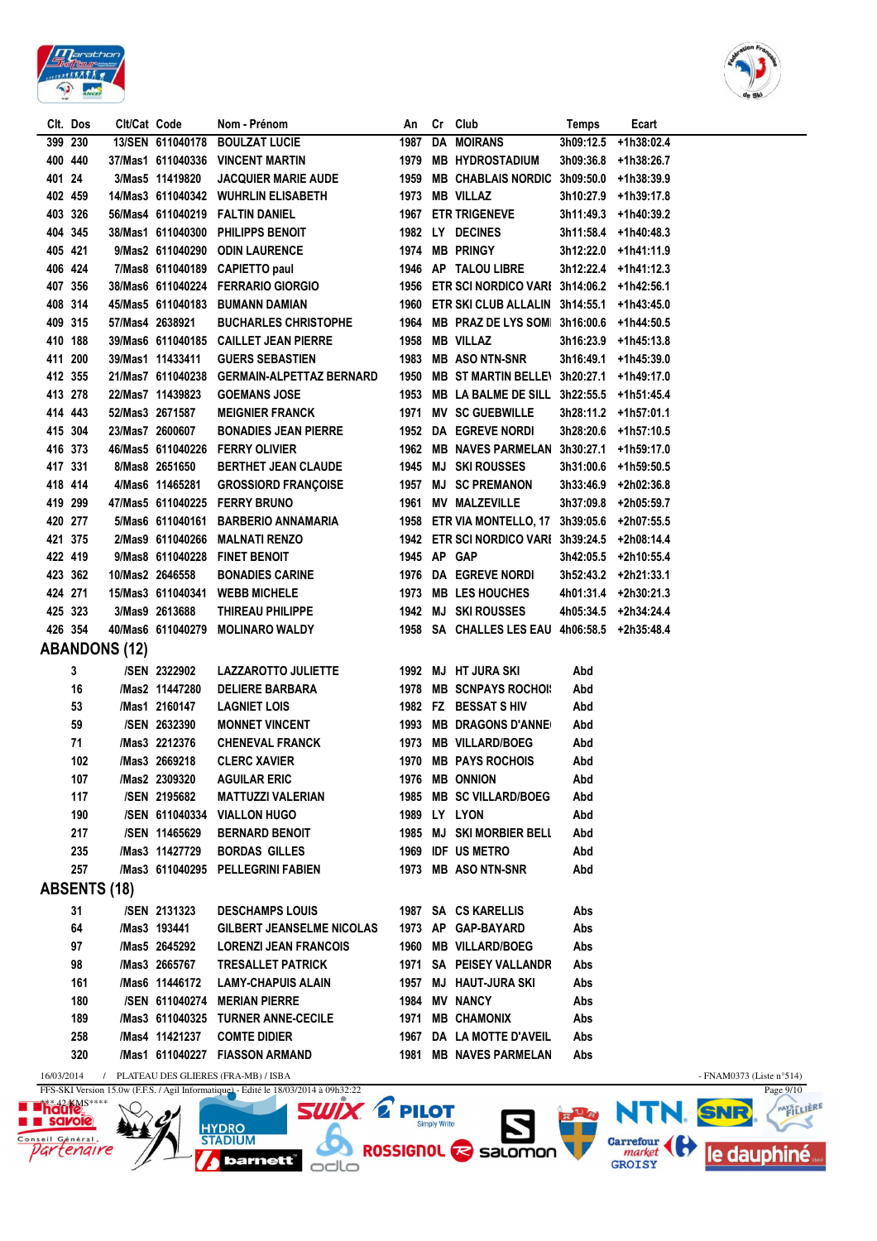



|            | Clt. Dos | Clt/Cat Code         |                   | Nom - Prénom                                                                        | An           |                     | Cr Club                                        | Temps     | Ecart                |                                    |           |
|------------|----------|----------------------|-------------------|-------------------------------------------------------------------------------------|--------------|---------------------|------------------------------------------------|-----------|----------------------|------------------------------------|-----------|
|            | 399 230  |                      | 13/SEN 611040178  | <b>BOULZAT LUCIE</b>                                                                | 1987         |                     | <b>DA MOIRANS</b>                              | 3h09:12.5 | +1h38:02.4           |                                    |           |
| 400 440    |          |                      |                   | 37/Mas1 611040336 VINCENT MARTIN                                                    | 1979         |                     | <b>MB HYDROSTADIUM</b>                         | 3h09:36.8 | +1h38:26.7           |                                    |           |
| 401 24     |          |                      | 3/Mas5 11419820   | <b>JACQUIER MARIE AUDE</b>                                                          |              |                     | 1959 MB CHABLAIS NORDIC 3h09:50.0              |           | +1h38:39.9           |                                    |           |
| 402 459    |          |                      |                   | 14/Mas3 611040342 WUHRLIN ELISABETH                                                 |              |                     | 1973 MB VILLAZ                                 |           | 3h10:27.9 +1h39:17.8 |                                    |           |
| 403 326    |          |                      |                   | 56/Mas4 611040219 FALTIN DANIEL                                                     |              |                     | 1967 ETR TRIGENEVE                             |           | 3h11:49.3 +1h40:39.2 |                                    |           |
| 404 345    |          |                      | 38/Mas1 611040300 | PHILIPPS BENOIT                                                                     |              |                     | 1982 LY DECINES                                |           | 3h11:58.4 +1h40:48.3 |                                    |           |
| 405 421    |          |                      | 9/Mas2 611040290  | <b>ODIN LAURENCE</b>                                                                |              |                     | 1974 MB PRINGY                                 |           | 3h12:22.0 +1h41:11.9 |                                    |           |
|            | 406 424  |                      | 7/Mas8 611040189  | <b>CAPIETTO paul</b>                                                                |              |                     | 1946 AP TALOU LIBRE                            |           | 3h12:22.4 +1h41:12.3 |                                    |           |
| 407 356    |          |                      |                   | 38/Mas6 611040224 FERRARIO GIORGIO                                                  |              |                     | 1956 ETR SCI NORDICO VARI 3h14:06.2 +1h42:56.1 |           |                      |                                    |           |
| 408 314    |          |                      |                   | 45/Mas5 611040183 BUMANN DAMIAN                                                     |              |                     | 1960 ETR SKI CLUB ALLALIN 3h14:55.1 +1h43:45.0 |           |                      |                                    |           |
| 409 315    |          |                      | 57/Mas4 2638921   | <b>BUCHARLES CHRISTOPHE</b>                                                         |              |                     | 1964 MB PRAZ DE LYS SOM 3h16:00.6 +1h44:50.5   |           |                      |                                    |           |
| 410 188    |          |                      |                   | 39/Mas6 611040185 CAILLET JEAN PIERRE                                               |              |                     | 1958 MB VILLAZ                                 |           | 3h16:23.9 +1h45:13.8 |                                    |           |
| 411 200    |          |                      | 39/Mas1 11433411  | <b>GUERS SEBASTIEN</b>                                                              |              |                     | 1983 MB ASO NTN-SNR                            |           | 3h16:49.1 +1h45:39.0 |                                    |           |
| 412 355    |          |                      |                   | 21/Mas7 611040238 GERMAIN-ALPETTAZ BERNARD                                          |              |                     | 1950 MB ST MARTIN BELLE\ 3h20:27.1 +1h49:17.0  |           |                      |                                    |           |
| 413 278    |          |                      |                   |                                                                                     |              |                     | 1953 MB LA BALME DE SILL 3h22:55.5 +1h51:45.4  |           |                      |                                    |           |
|            |          |                      | 22/Mas7 11439823  | <b>GOEMANS JOSE</b>                                                                 |              |                     |                                                |           |                      |                                    |           |
| 414 443    |          |                      | 52/Mas3 2671587   | <b>MEIGNIER FRANCK</b>                                                              |              |                     | 1971 MV SC GUEBWILLE                           |           | 3h28:11.2 +1h57:01.1 |                                    |           |
| 415 304    |          |                      | 23/Mas7 2600607   | <b>BONADIES JEAN PIERRE</b>                                                         |              |                     | 1952 DA EGREVE NORDI                           |           | 3h28:20.6 +1h57:10.5 |                                    |           |
| 416 373    |          |                      |                   | 46/Mas5 611040226 FERRY OLIVIER                                                     |              |                     | 1962 MB NAVES PARMELAN 3h30:27.1 +1h59:17.0    |           |                      |                                    |           |
| 417 331    |          |                      | 8/Mas8 2651650    | <b>BERTHET JEAN CLAUDE</b>                                                          |              |                     | 1945 MJ SKI ROUSSES                            |           | 3h31:00.6 +1h59:50.5 |                                    |           |
| 418 414    |          |                      | 4/Mas6 11465281   | <b>GROSSIORD FRANÇOISE</b>                                                          |              |                     | 1957 MJ SC PREMANON                            |           | 3h33:46.9 +2h02:36.8 |                                    |           |
| 419 299    |          |                      |                   | 47/Mas5 611040225 FERRY BRUNO                                                       | 1961         |                     | <b>MV MALZEVILLE</b>                           | 3h37:09.8 | +2h05:59.7           |                                    |           |
| 420 277    |          |                      |                   | 5/Mas6 611040161 BARBERIO ANNAMARIA                                                 |              |                     | 1958 ETR VIA MONTELLO, 17 3h39:05.6 +2h07:55.5 |           |                      |                                    |           |
| 421 375    |          |                      |                   | 2/Mas9 611040266 MALNATI RENZO                                                      |              |                     | 1942 ETR SCI NORDICO VARI 3h39:24.5 +2h08:14.4 |           |                      |                                    |           |
| 422 419    |          |                      | 9/Mas8 611040228  | <b>FINET BENOIT</b>                                                                 | 1945 AP GAP  |                     |                                                |           | 3h42:05.5 +2h10:55.4 |                                    |           |
|            | 423 362  |                      | 10/Mas2 2646558   | <b>BONADIES CARINE</b>                                                              |              |                     | 1976 DA EGREVE NORDI                           |           | 3h52:43.2 +2h21:33.1 |                                    |           |
| 424 271    |          |                      | 15/Mas3 611040341 | <b>WEBB MICHELE</b>                                                                 |              |                     | 1973 MB LES HOUCHES                            |           | 4h01:31.4 +2h30:21.3 |                                    |           |
| 425 323    |          |                      | 3/Mas9 2613688    | THIREAU PHILIPPE                                                                    |              |                     | 1942 MJ SKI ROUSSES                            |           | 4h05:34.5 +2h34:24.4 |                                    |           |
| 426 354    |          |                      | 40/Mas6 611040279 | <b>MOLINARO WALDY</b>                                                               |              |                     | 1958 SA CHALLES LES EAU 4h06:58.5 +2h35:48.4   |           |                      |                                    |           |
|            |          | <b>ABANDONS (12)</b> |                   |                                                                                     |              |                     |                                                |           |                      |                                    |           |
|            | 3        |                      | /SEN 2322902      | LAZZAROTTO JULIETTE                                                                 |              |                     | 1992 MJ HT JURA SKI                            | Abd       |                      |                                    |           |
|            | 16       |                      | /Mas2 11447280    | <b>DELIERE BARBARA</b>                                                              |              |                     | 1978 MB SCNPAYS ROCHOI!                        | Abd       |                      |                                    |           |
|            | 53       |                      | /Mas1 2160147     | <b>LAGNIET LOIS</b>                                                                 |              |                     | 1982 FZ BESSAT S HIV                           | Abd       |                      |                                    |           |
|            | 59       |                      | /SEN 2632390      | <b>MONNET VINCENT</b>                                                               |              |                     | 1993 MB DRAGONS D'ANNE                         | Abd       |                      |                                    |           |
|            | 71       |                      | /Mas3 2212376     | <b>CHENEVAL FRANCK</b>                                                              |              |                     | 1973 MB VILLARD/BOEG                           | Abd       |                      |                                    |           |
|            | 102      |                      | /Mas3 2669218     | <b>CLERC XAVIER</b>                                                                 |              |                     | 1970 MB PAYS ROCHOIS                           | Abd       |                      |                                    |           |
|            | 107      |                      | /Mas2 2309320     | <b>AGUILAR ERIC</b>                                                                 | 1976         |                     | <b>MB ONNION</b>                               | Abd       |                      |                                    |           |
|            | 117      |                      | /SEN 2195682      | <b>MATTUZZI VALERIAN</b>                                                            | 1985         |                     | <b>MB SC VILLARD/BOEG</b>                      | Abd       |                      |                                    |           |
|            | 190      |                      | /SEN 611040334    | <b>VIALLON HUGO</b>                                                                 |              |                     | 1989 LY LYON                                   | Abd       |                      |                                    |           |
|            | 217      |                      | /SEN 11465629     | <b>BERNARD BENOIT</b>                                                               |              |                     | 1985 MJ SKI MORBIER BELL                       |           |                      |                                    |           |
|            |          |                      | /Mas3 11427729    |                                                                                     |              |                     |                                                | Abd       |                      |                                    |           |
|            | 235      |                      |                   | <b>BORDAS GILLES</b>                                                                |              |                     | 1969 IDF US METRO                              | Abd       |                      |                                    |           |
|            | 257      |                      | /Mas3 611040295   | <b>PELLEGRINI FABIEN</b>                                                            |              |                     | 1973 MB ASO NTN-SNR                            | Abd       |                      |                                    |           |
|            |          | <b>ABSENTS (18)</b>  |                   |                                                                                     |              |                     |                                                |           |                      |                                    |           |
|            | 31       |                      | /SEN 2131323      | <b>DESCHAMPS LOUIS</b>                                                              | 1987         |                     | <b>SA CS KARELLIS</b>                          | Abs       |                      |                                    |           |
|            | 64       |                      | /Mas3 193441      | <b>GILBERT JEANSELME NICOLAS</b>                                                    |              |                     | 1973 AP GAP-BAYARD                             | Abs       |                      |                                    |           |
|            | 97       |                      | /Mas5 2645292     | <b>LORENZI JEAN FRANCOIS</b>                                                        | 1960         |                     | <b>MB VILLARD/BOEG</b>                         | Abs       |                      |                                    |           |
|            | 98       |                      | /Mas3 2665767     | <b>TRESALLET PATRICK</b>                                                            | 1971         |                     | <b>SA PEISEY VALLANDR</b>                      | Abs       |                      |                                    |           |
|            | 161      |                      | /Mas6 11446172    | <b>LAMY-CHAPUIS ALAIN</b>                                                           | 1957         |                     | MJ HAUT-JURA SKI                               | Abs       |                      |                                    |           |
|            | 180      |                      | /SEN 611040274    | <b>MERIAN PIERRE</b>                                                                | 1984         |                     | <b>MV NANCY</b>                                | Abs       |                      |                                    |           |
|            | 189      |                      | /Mas3 611040325   | <b>TURNER ANNE-CECILE</b>                                                           | 1971         |                     | <b>MB CHAMONIX</b>                             | Abs       |                      |                                    |           |
|            | 258      |                      | /Mas4 11421237    | <b>COMTE DIDIER</b>                                                                 | 1967         |                     | DA LA MOTTE D'AVEIL                            | Abs       |                      |                                    |           |
|            | 320      |                      | /Mas1 611040227   | <b>FIASSON ARMAND</b>                                                               | 1981         |                     | <b>MB NAVES PARMELAN</b>                       | Abs       |                      |                                    |           |
| 16/03/2014 |          |                      |                   | PLATEAU DES GLIERES (FRA-MB) / ISBA                                                 |              |                     |                                                |           |                      | - FNAM0373 (Liste $n^{\circ}514$ ) |           |
|            |          |                      |                   | FFS-SKI Version 15.0w (F.F.S. / Agil Informatique) - Edité le 18/03/2014 à 09h32:22 |              |                     |                                                |           |                      |                                    | Page 9/10 |
|            |          |                      |                   | <b>SWIX 2</b>                                                                       | <b>PILOT</b> |                     |                                                |           | ER NTN. SNR          |                                    | PAYSILLE  |
|            |          |                      |                   | <b>HYDRO</b>                                                                        |              | <b>Simply Write</b> |                                                |           |                      |                                    |           |



HYDRO STADIUM<br>STADIUM<br>**Z** barnett odlo

NTN. SNR. CAPITALIST Garrefour (<sup>1</sup>) le dauphiné